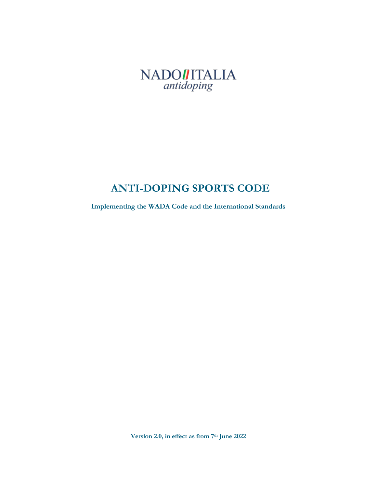

# **ANTI-DOPING SPORTS CODE**

**Implementing the WADA Code and the International Standards**

**Version 2.0, in effect as from 7th June 2022**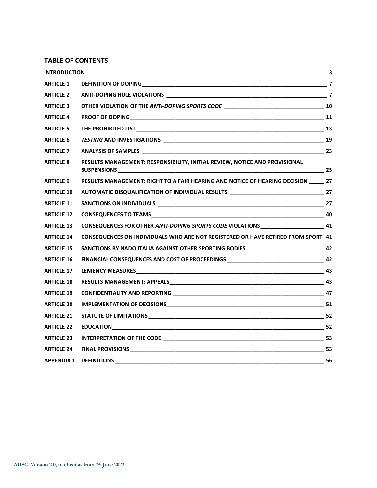#### **TABLE OF CONTENTS**

| INTRODUCTION      |                                                                                         |  |
|-------------------|-----------------------------------------------------------------------------------------|--|
| <b>ARTICLE 1</b>  |                                                                                         |  |
| <b>ARTICLE 2</b>  |                                                                                         |  |
| <b>ARTICLE 3</b>  |                                                                                         |  |
| <b>ARTICLE 4</b>  |                                                                                         |  |
| <b>ARTICLE 5</b>  |                                                                                         |  |
| <b>ARTICLE 6</b>  |                                                                                         |  |
| <b>ARTICLE 7</b>  |                                                                                         |  |
| <b>ARTICLE 8</b>  | RESULTS MANAGEMENT: RESPONSIBILITY, INITIAL REVIEW, NOTICE AND PROVISIONAL              |  |
| <b>ARTICLE 9</b>  | RESULTS MANAGEMENT: RIGHT TO A FAIR HEARING AND NOTICE OF HEARING DECISION _____ 27     |  |
| <b>ARTICLE 10</b> | AUTOMATIC DISQUALIFICATION OF INDIVIDUAL RESULTS ________________________________ 27    |  |
| <b>ARTICLE 11</b> |                                                                                         |  |
| <b>ARTICLE 12</b> |                                                                                         |  |
| <b>ARTICLE 13</b> | CONSEQUENCES FOR OTHER ANTI-DOPING SPORTS CODE VIOLATIONS________________________ 41    |  |
| <b>ARTICLE 14</b> | <b>CONSEQUENCES ON INDIVIDUALS WHO ARE NOT REGISTERED OR HAVE RETIRED FROM SPORT 41</b> |  |
| <b>ARTICLE 15</b> | SANCTIONS BY NADO ITALIA AGAINST OTHER SPORTING BODIES ___________________________ 42   |  |
| <b>ARTICLE 16</b> | FINANCIAL CONSEQUENCES AND COST OF PROCEEDINGS __________________________________ 42    |  |
| <b>ARTICLE 17</b> |                                                                                         |  |
| <b>ARTICLE 18</b> |                                                                                         |  |
| <b>ARTICLE 19</b> |                                                                                         |  |
| <b>ARTICLE 20</b> |                                                                                         |  |
| <b>ARTICLE 21</b> |                                                                                         |  |
| <b>ARTICLE 22</b> |                                                                                         |  |
| <b>ARTICLE 23</b> |                                                                                         |  |
| <b>ARTICLE 24</b> |                                                                                         |  |
| <b>APPENDIX 1</b> |                                                                                         |  |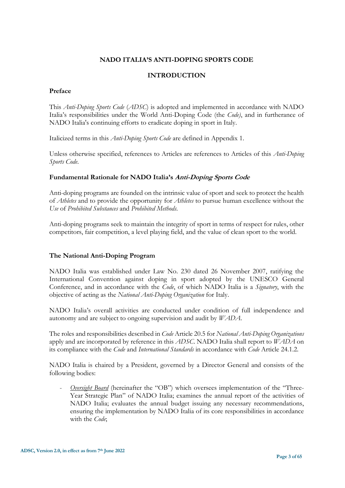# **NADO ITALIA'S ANTI-DOPING SPORTS CODE**

#### **INTRODUCTION**

#### <span id="page-2-0"></span>**Preface**

This *Anti-Doping Sports Code* (*ADSC*) is adopted and implemented in accordance with NADO Italia's responsibilities under the World Anti-Doping Code (the *Code)*, and in furtherance of NADO Italia's continuing efforts to eradicate doping in sport in Italy.

Italicized terms in this *Anti-Doping Sports Code* are defined in Appendix 1.

Unless otherwise specified, references to Articles are references to Articles of this *Anti-Doping Sports Code*.

# **Fundamental Rationale for NADO Italia's Anti-Doping Sports Code**

Anti-doping programs are founded on the intrinsic value of sport and seek to protect the health of *Athletes* and to provide the opportunity for *Athletes* to pursue human excellence without the *Use* of *Prohibited Substances* and *Prohibited Methods*.

Anti-doping programs seek to maintain the integrity of sport in terms of respect for rules, other competitors, fair competition, a level playing field, and the value of clean sport to the world.

# **The National Anti-Doping Program**

NADO Italia was established under Law No. 230 dated 26 November 2007, ratifying the International Convention against doping in sport adopted by the UNESCO General Conference, and in accordance with the *Code*, of which NADO Italia is a *Signatory*, with the objective of acting as the *National Anti-Doping Organization* for Italy.

NADO Italia's overall activities are conducted under condition of full independence and autonomy and are subject to ongoing supervision and audit by *WADA*.

The roles and responsibilities described in *Code* Article 20.5 for *National Anti-Doping Organizations* apply and are incorporated by reference in this *ADSC*. NADO Italia shall report to *WADA* on its compliance with the *Code* and *International Standards* in accordance with *Code* Article 24.1.2.

NADO Italia is chaired by a President, governed by a Director General and consists of the following bodies:

*Oversight Board* (hereinafter the "OB") which oversees implementation of the "Three-Year Strategic Plan" of NADO Italia; examines the annual report of the activities of NADO Italia; evaluates the annual budget issuing any necessary recommendations, ensuring the implementation by NADO Italia of its core responsibilities in accordance with the *Code*;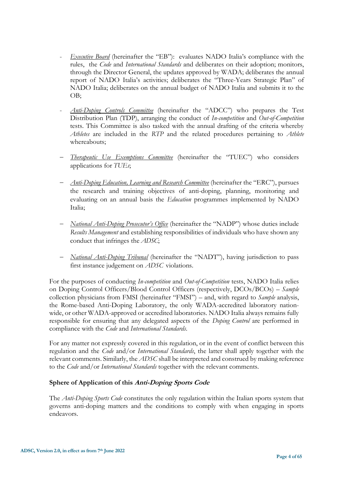- *Executive Board* (hereinafter the "EB"): evaluates NADO Italia's compliance with the rules, the *Code* and *International Standards* and deliberates on their adoption; monitors, through the Director General, the updates approved by WADA; deliberates the annual report of NADO Italia's activities; deliberates the "Three-Years Strategic Plan" of NADO Italia; deliberates on the annual budget of NADO Italia and submits it to the OB;
- *Anti-Doping Controls Committee* (hereinafter the "ADCC") who prepares the Test Distribution Plan (TDP), arranging the conduct of *In-competition* and *Out-of-Competition* tests. This Committee is also tasked with the annual drafting of the criteria whereby *Athletes* are included in the *RTP* and the related procedures pertaining to *Athlete* whereabouts;
- − *Therapeutic Use Exemptions Committee* (hereinafter the "TUEC") who considers applications for *TUEs*;
- − *Anti-Doping Education, Learning and Research Committee* (hereinafter the "ERC"), pursues the research and training objectives of anti-doping, planning, monitoring and evaluating on an annual basis the *Education* programmes implemented by NADO Italia;
- − *National Anti-Doping Prosecutor's Office* (hereinafter the "NADP") whose duties include *Results Management* and establishing responsibilities of individuals who have shown any conduct that infringes the *ADSC*;
- − *National Anti-Doping Tribunal* (hereinafter the "NADT"), having jurisdiction to pass first instance judgement on *ADSC* violations.

For the purposes of conducting *In-competition* and *Out-of-Competition* tests, NADO Italia relies on Doping Control Officers/Blood Control Officers (respectively, DCOs/BCOs) – *Sample*  collection physicians from FMSI (hereinafter "FMSI") – and, with regard to *Sample* analysis, the Rome-based Anti-Doping Laboratory, the only WADA-accredited laboratory nationwide, or other WADA-approved or accredited laboratories. NADO Italia always remains fully responsible for ensuring that any delegated aspects of the *Doping Control* are performed in compliance with the *Code* and *International Standards*.

For any matter not expressly covered in this regulation, or in the event of conflict between this regulation and the *Code* and/or *International Standards*, the latter shall apply together with the relevant comments. Similarly, the *ADSC* shall be interpreted and construed by making reference to the *Code* and/or *International Standards* together with the relevant comments.

# **Sphere of Application of this Anti-Doping Sports Code**

The *Anti-Doping Sports Code* constitutes the only regulation within the Italian sports system that governs anti-doping matters and the conditions to comply with when engaging in sports endeavors.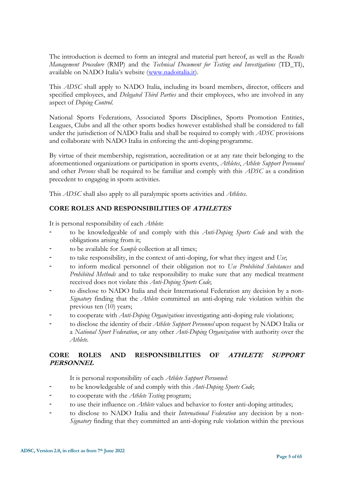The introduction is deemed to form an integral and material part hereof, as well as the *Results Management Procedure* (RMP) and the *Technical Document for Testing and Investigations* (TD\_TI), available on NADO Italia's website ([www.nadoitalia.it\)](http://www.nadoitalia.it/).

This *ADSC* shall apply to NADO Italia, including its board members, director, officers and specified employees, and *Delegated Third Parties* and their employees, who are involved in any aspect of *Doping Control*.

National Sports Federations, Associated Sports Disciplines, Sports Promotion Entities, Leagues, Clubs and all the other sports bodies however established shall be considered to fall under the jurisdiction of NADO Italia and shall be required to comply with *ADSC* provisions and collaborate with NADO Italia in enforcing the anti-doping programme.

By virtue of their membership, registration, accreditation or at any rate their belonging to the aforementioned organizations or participation in sports events, *Athletes*, *Athlete Support Personnel* and other *Persons* shall be required to be familiar and comply with this *ADSC* as a condition precedent to engaging in sports activities.

This *ADSC* shall also apply to all paralympic sports activities and *Athletes*.

# **CORE ROLES AND RESPONSIBILITIES OF ATHLETES**

It is personal responsibility of each *Athlete*:

- to be knowledgeable of and comply with this *Anti-Doping Sports Code* and with the obligations arising from it;
- to be available for *Sample* collection at all times;
- to take responsibility, in the context of anti-doping, for what they ingest and *Use*;
- to inform medical personnel of their obligation not to *Use Prohibited Substances* and *Prohibited Methods* and to take responsibility to make sure that any medical treatment received does not violate this *Anti-Doping Sports Code*;
- to disclose to NADO Italia and their International Federation any decision by a non-*Signatory* finding that the *Athlete* committed an anti-doping rule violation within the previous ten (10) years;
- to cooperate with *Anti-Doping Organizations* investigating anti-doping rule violations;
- to disclose the identity of their *Athlete Support Personnel* upon request by NADO Italia or a *National Sport Federation*, or any other *Anti-Doping Organization* with authority over the *Athlete*.

# **CORE ROLES AND RESPONSIBILITIES OF ATHLETE SUPPORT PERSONNEL**

It is personal responsibility of each *Athlete Support Personnel*:

- to be knowledgeable of and comply with this *Anti-Doping Sports Code*;
- to cooperate with the *Athlete Testing* program;
- to use their influence on *Athlete* values and behavior to foster anti-doping attitudes;
- to disclose to NADO Italia and their *International Federation* any decision by a non-*Signatory* finding that they committed an anti-doping rule violation within the previous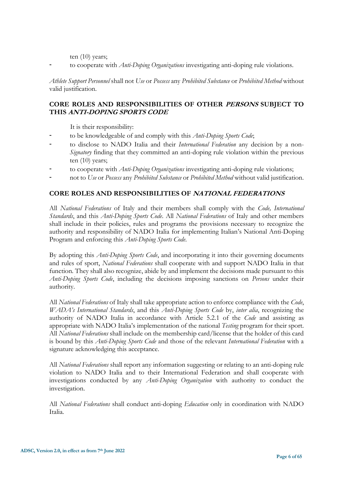ten (10) years;

to cooperate with *Anti-Doping Organizations* investigating anti-doping rule violations.

*Athlete Support Personnel* shall not *Use* or *Possess* any *Prohibited Substance* or *Prohibited Method* without valid justification.

# **CORE ROLES AND RESPONSIBILITIES OF OTHER PERSONS SUBJECT TO THIS ANTI-DOPING SPORTS CODE**

It is their responsibility:

- to be knowledgeable of and comply with this *Anti-Doping Sports Code*;
- to disclose to NADO Italia and their *International Federation* any decision by a non-*Signatory* finding that they committed an anti-doping rule violation within the previous ten (10) years;
- to cooperate with *Anti-Doping Organizations* investigating anti-doping rule violations;
- not to *Use* or *Possess* any *Prohibited Substance* or *Prohibited Method* without valid justification.

# **CORE ROLES AND RESPONSIBILITIES OF NATIONAL FEDERATIONS**

All *National Federations* of Italy and their members shall comply with the *Code, International Standards*, and this *Anti-Doping Sports Code*. All *National Federations* of Italy and other members shall include in their policies, rules and programs the provisions necessary to recognize the authority and responsibility of NADO Italia for implementing Italian's National Anti-Doping Program and enforcing this *Anti-Doping Sports Code*.

By adopting this *Anti-Doping Sports Code*, and incorporating it into their governing documents and rules of sport, *National Federations* shall cooperate with and support NADO Italia in that function*.* They shall also recognize, abide by and implement the decisions made pursuant to this *Anti-Doping Sports Code*, including the decisions imposing sanctions on *Persons* under their authority.

All *National Federations* of Italy shall take appropriate action to enforce compliance with the *Code*, *WADA's International Standards*, and this *Anti-Doping Sports Code* by, *inter alia*, recognizing the authority of NADO Italia in accordance with Article 5.2.1 of the *Code* and assisting as appropriate with NADO Italia's implementation of the national *Testing* program for their sport. All *National Federations* shall include on the membership card/license that the holder of this card is bound by this *Anti-Doping Sports Code* and those of the relevant *International Federation* with a signature acknowledging this acceptance.

All *National Federations* shall report any information suggesting or relating to an anti-doping rule violation to NADO Italia and to their International Federation and shall cooperate with investigations conducted by any *Anti-Doping Organization* with authority to conduct the investigation.

All *National Federations* shall conduct anti-doping *Education* only in coordination with NADO Italia*.*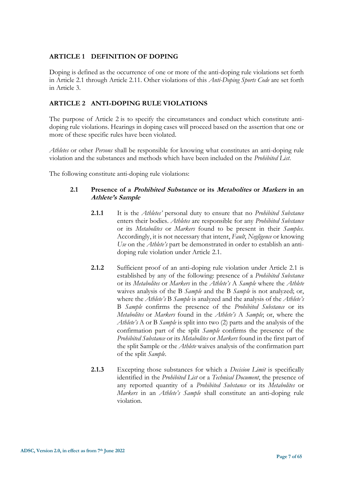# <span id="page-6-0"></span>**ARTICLE 1 DEFINITION OF DOPING**

<span id="page-6-1"></span>Doping is defined as the occurrence of one or more of the anti-doping rule violations set forth in Article 2.1 through Article 2.11. Other violations of this *Anti-Doping Sports Code* are set forth in Article 3.

# **ARTICLE 2 ANTI-DOPING RULE VIOLATIONS**

The purpose of Article 2 is to specify the circumstances and conduct which constitute antidoping rule violations. Hearings in doping cases will proceed based on the assertion that one or more of these specific rules have been violated.

*Athletes* or other *Persons* shall be responsible for knowing what constitutes an anti-doping rule violation and the substances and methods which have been included on the *Prohibited List*.

The following constitute anti-doping rule violations:

# **2.1 Presence of a Prohibited Substance or its Metabolites or Markers in an Athlete's Sample**

- **2.1.1** It is the *Athletes'* personal duty to ensure that no *Prohibited Substance* enters their bodies. *Athletes* are responsible for any *Prohibited Substance* or its *Metabolites* or *Markers* found to be present in their *Samples*. Accordingly, it is not necessary that intent, *Fault*, *Negligence* or knowing *Use* on the *Athlete's* part be demonstrated in order to establish an antidoping rule violation under Article 2.1.
- **2.1.2** Sufficient proof of an anti-doping rule violation under Article 2.1 is established by any of the following: presence of a *Prohibited Substance* or its *Metabolites* or *Markers* in the *Athlete's* A *Sample* where the *Athlete* waives analysis of the B *Sample* and the B *Sample* is not analyzed; or, where the *Athlete's* B *Sample* is analyzed and the analysis of the *Athlete's* B *Sample* confirms the presence of the *Prohibited Substance* or its *Metabolites* or *Markers* found in the *Athlete's* A *Sample*; or, where the *Athlete's* A or B *Sample* is split into two (2) parts and the analysis of the confirmation part of the split *Sample* confirms the presence of the *Prohibited Substance* or its *Metabolites* or *Markers* found in the first part of the split Sample or the *Athlete* waives analysis of the confirmation part of the split *Sample*.
- **2.1.3** Excepting those substances for which a *Decision Limit* is specifically identified in the *Prohibited List* or a *Technical Document*, the presence of any reported quantity of a *Prohibited Substance* or its *Metabolites* or *Markers* in an *Athlete's Sample* shall constitute an anti-doping rule violation.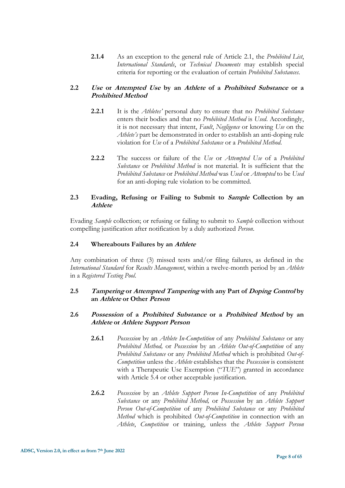**2.1.4** As an exception to the general rule of Article 2.1, the *Prohibited List*, *International Standards*, or *Technical Documents* may establish special criteria for reporting or the evaluation of certain *Prohibited Substances*.

# **2.2 Use or Attempted Use by an Athlete of a Prohibited Substance or a Prohibited Method**

- **2.2.1** It is the *Athletes'* personal duty to ensure that no *Prohibited Substance* enters their bodies and that no *Prohibited Method* is *Used*. Accordingly, it is not necessary that intent, *Fault*, *Negligence* or knowing *Use* on the *Athlete's* part be demonstrated in order to establish an anti-doping rule violation for *Use* of a *Prohibited Substance* or a *Prohibited Method*.
- **2.2.2** The success or failure of the *Use* or *Attempted Use* of a *Prohibited Substance* or *Prohibited Method* is not material. It is sufficient that the *Prohibited Substance* or *Prohibited Method* was *Used* or *Attempted* to be *Used* for an anti-doping rule violation to be committed.

# **2.3 Evading, Refusing or Failing to Submit to Sample Collection by an Athlete**

Evading *Sample* collection; or refusing or failing to submit to *Sample* collection without compelling justification after notification by a duly authorized *Person*.

# **2.4 Whereabouts Failures by an Athlete**

Any combination of three (3) missed tests and/or filing failures, as defined in the *International Standard* for *Results Management*, within a twelve-month period by an *Athlete*  in a *Registered Testing Pool*.

# **2.5 Tampering or Attempted Tampering with any Part of Doping Control by an Athlete or Other Person**

# **2.6 Possession of a Prohibited Substance or a Prohibited Method by an Athlete or Athlete Support Person**

- **2.6.1** *Possession* by an *Athlete In-Competition* of any *Prohibited Substance* or any *Prohibited Method,* or *Possession* by an *Athlete Out-of-Competition* of any *Prohibited Substance* or any *Prohibited Method* which is prohibited *Out-of-Competition* unless the *Athlete* establishes that the *Possession* is consistent with a Therapeutic Use Exemption ("*TUE*") granted in accordance with Article 5.4 or other acceptable justification.
- **2.6.2** *Possession* by an *Athlete Support Person In-Competition* of any *Prohibited Substance* or any *Prohibited Method,* or *Possession* by an *Athlete Support Person Out-of-Competition* of any *Prohibited Substance* or any *Prohibited Method* which is prohibited *Out-of-Competition* in connection with an *Athlete*, *Competition* or training, unless the *Athlete Support Person*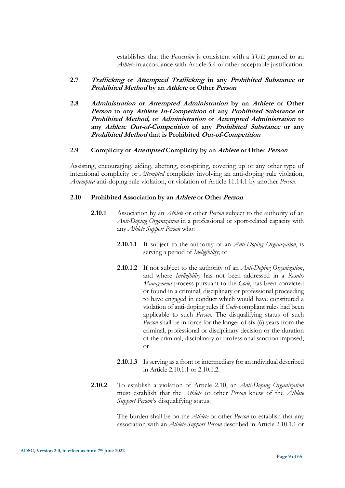establishes that the *Possession* is consistent with a *TUE* granted to an *Athlete* in accordance with Article 5.4 or other acceptable justification.

#### **2.7 Trafficking or Attempted Trafficking in any Prohibited Substance or Prohibited Method by an Athlete or Other Person**

**2.8 Administration or Attempted Administration by an Athlete or Other Person to any Athlete In-Competition of any Prohibited Substance or Prohibited Method, or Administration or Attempted Administration to any Athlete Out-of-Competition of any Prohibited Substance or any Prohibited Method that is Prohibited Out-of-Competition**

#### **2.9 Complicity or Attempted Complicity by an Athlete or Other Person**

Assisting, encouraging, aiding, abetting, conspiring, covering up or any other type of intentional complicity or *Attempted* complicity involving an anti-doping rule violation, *Attempted* anti-doping rule violation, or violation of Article 11.14.1 by another *Person*.

#### **2.10 Prohibited Association by an Athlete or Other Person**

- **2.10.1** Association by an *Athlete* or other *Person* subject to the authority of an *Anti-Doping Organization* in a professional or sport-related capacity with any *Athlete Support Person* who:
	- **2.10.1.1** If subject to the authority of an *Anti-Doping Organization*, is serving a period of *Ineligibility*; or
	- **2.10.1.2** If not subject to the authority of an *Anti-Doping Organization*, and where *Ineligibility* has not been addressed in a *Results Management* process pursuant to the *Code*, has been convicted or found in a criminal, disciplinary or professional proceeding to have engaged in conduct which would have constituted a violation of anti-doping rules if *Code*-compliant rules had been applicable to such *Person.* The disqualifying status of such *Person* shall be in force for the longer of six (6) years from the criminal, professional or disciplinary decision or the duration of the criminal, disciplinary or professional sanction imposed; or
	- **2.10.1.3** Is serving as a front or intermediary for an individual described in Article 2.10.1.1 or 2.10.1.2.
- **2.10.2** To establish a violation of Article 2.10, an *Anti-Doping Organization* must establish that the *Athlete* or other *Person* knew of the *Athlete Support Person*'s disqualifying status.

The burden shall be on the *Athlete* or other *Person* to establish that any association with an *Athlete Support Person* described in Article 2.10.1.1 or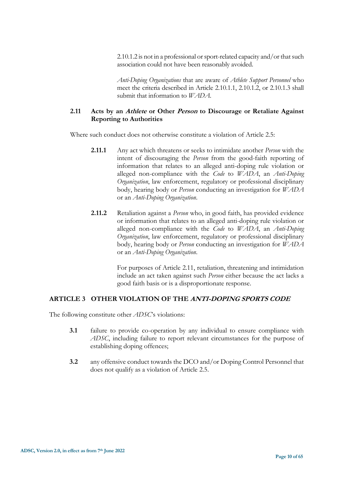2.10.1.2 is not in a professional or sport-related capacity and/or that such association could not have been reasonably avoided.

*Anti-Doping Organizations* that are aware of *Athlete Support Personnel* who meet the criteria described in Article 2.10.1.1, 2.10.1.2, or 2.10.1.3 shall submit that information to *WADA*.

# **2.11 Acts by an Athlete or Other Person to Discourage or Retaliate Against Reporting to Authorities**

Where such conduct does not otherwise constitute a violation of Article 2.5:

- **2.11.1** Any act which threatens or seeks to intimidate another *Person* with the intent of discouraging the *Person* from the good-faith reporting of information that relates to an alleged anti-doping rule violation or alleged non-compliance with the *Code* to *WADA*, an *Anti-Doping Organization*, law enforcement, regulatory or professional disciplinary body, hearing body or *Person* conducting an investigation for *WADA* or an *Anti-Doping Organization*.
- **2.11.2** Retaliation against a *Person* who, in good faith, has provided evidence or information that relates to an alleged anti-doping rule violation or alleged non-compliance with the *Code* to *WADA*, an *Anti-Doping Organization*, law enforcement, regulatory or professional disciplinary body, hearing body or *Person* conducting an investigation for *WADA* or an *Anti-Doping Organization*.

For purposes of Article 2.11, retaliation, threatening and intimidation include an act taken against such *Person* either because the act lacks a good faith basis or is a disproportionate response.

# <span id="page-9-0"></span>**ARTICLE 3 OTHER VIOLATION OF THE ANTI-DOPING SPORTS CODE**

The following constitute other *ADSC*'s violations:

- **3.1** failure to provide co-operation by any individual to ensure compliance with *ADSC*, including failure to report relevant circumstances for the purpose of establishing doping offences;
- **3.2** any offensive conduct towards the DCO and/or Doping Control Personnel that does not qualify as a violation of Article 2.5.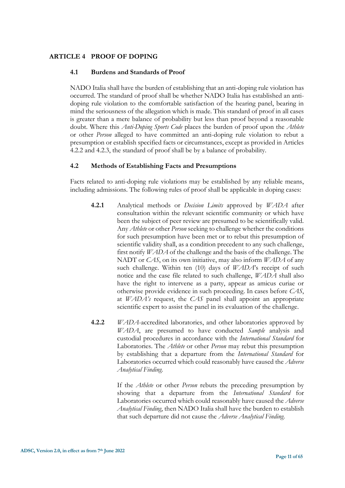# <span id="page-10-0"></span>**ARTICLE 4 PROOF OF DOPING**

#### **4.1 Burdens and Standards of Proof**

NADO Italia shall have the burden of establishing that an anti-doping rule violation has occurred. The standard of proof shall be whether NADO Italia has established an antidoping rule violation to the comfortable satisfaction of the hearing panel, bearing in mind the seriousness of the allegation which is made. This standard of proof in all cases is greater than a mere balance of probability but less than proof beyond a reasonable doubt. Where this *Anti-Doping Sports Code* places the burden of proof upon the *Athlete* or other *Person* alleged to have committed an anti-doping rule violation to rebut a presumption or establish specified facts or circumstances, except as provided in Articles 4.2.2 and 4.2.3, the standard of proof shall be by a balance of probability.

#### **4.2 Methods of Establishing Facts and Presumptions**

Facts related to anti-doping rule violations may be established by any reliable means, including admissions. The following rules of proof shall be applicable in doping cases:

- **4.2.1** Analytical methods or *Decision Limits* approved by *WADA* after consultation within the relevant scientific community or which have been the subject of peer review are presumed to be scientifically valid. Any *Athlete* or other *Person* seeking to challenge whether the conditions for such presumption have been met or to rebut this presumption of scientific validity shall, as a condition precedent to any such challenge, first notify *WADA* of the challenge and the basis of the challenge. The NADT or *CAS*, on its own initiative, may also inform *WADA* of any such challenge. Within ten (10) days of *WADA*'s receipt of such notice and the case file related to such challenge, *WADA* shall also have the right to intervene as a party, appear as amicus curiae or otherwise provide evidence in such proceeding. In cases before *CAS*, at *WADA's* request, the *CAS* panel shall appoint an appropriate scientific expert to assist the panel in its evaluation of the challenge.
- **4.2.2** *WADA*-accredited laboratories, and other laboratories approved by *WADA*, are presumed to have conducted *Sample* analysis and custodial procedures in accordance with the *International Standard* for Laboratories. The *Athlete* or other *Person* may rebut this presumption by establishing that a departure from the *International Standard* for Laboratories occurred which could reasonably have caused the *Adverse Analytical Finding*.

If the *Athlete* or other *Person* rebuts the preceding presumption by showing that a departure from the *International Standard* for Laboratories occurred which could reasonably have caused the *Adverse Analytical Finding*, then NADO Italia shall have the burden to establish that such departure did not cause the *Adverse Analytical Finding*.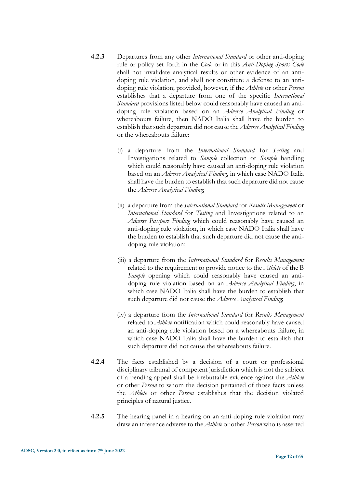- **4.2.3** Departures from any other *International Standard* or other anti-doping rule or policy set forth in the *Code* or in this *Anti-Doping Sports Code* shall not invalidate analytical results or other evidence of an antidoping rule violation, and shall not constitute a defense to an antidoping rule violation; provided, however, if the *Athlete* or other *Person* establishes that a departure from one of the specific *International Standard* provisions listed below could reasonably have caused an antidoping rule violation based on an *Adverse Analytical Finding* or whereabouts failure, then NADO Italia shall have the burden to establish that such departure did not cause the *Adverse Analytical Finding*  or the whereabouts failure:
	- (i) a departure from the *International Standard* for *Testing* and Investigations related to *Sample* collection or *Sample* handling which could reasonably have caused an anti-doping rule violation based on an *Adverse Analytical Finding*, in which case NADO Italia shall have the burden to establish that such departure did not cause the *Adverse Analytical Finding*;
	- (ii) a departure from the *International Standard* for *Results Management* or *International Standard* for *Testing* and Investigations related to an *Adverse Passport Finding* which could reasonably have caused an anti-doping rule violation, in which case NADO Italia shall have the burden to establish that such departure did not cause the antidoping rule violation;
	- (iii) a departure from the *International Standard* for *Results Management* related to the requirement to provide notice to the *Athlete* of the B *Sample* opening which could reasonably have caused an antidoping rule violation based on an *Adverse Analytical Finding*, in which case NADO Italia shall have the burden to establish that such departure did not cause the *Adverse Analytical Finding*;
	- (iv) a departure from the *International Standard* for *Results Management* related to *Athlete* notification which could reasonably have caused an anti-doping rule violation based on a whereabouts failure, in which case NADO Italia shall have the burden to establish that such departure did not cause the whereabouts failure.
- **4.2.4** The facts established by a decision of a court or professional disciplinary tribunal of competent jurisdiction which is not the subject of a pending appeal shall be irrebuttable evidence against the *Athlete* or other *Person* to whom the decision pertained of those facts unless the *Athlete* or other *Person* establishes that the decision violated principles of natural justice.
- **4.2.5** The hearing panel in a hearing on an anti-doping rule violation may draw an inference adverse to the *Athlete* or other *Person* who is asserted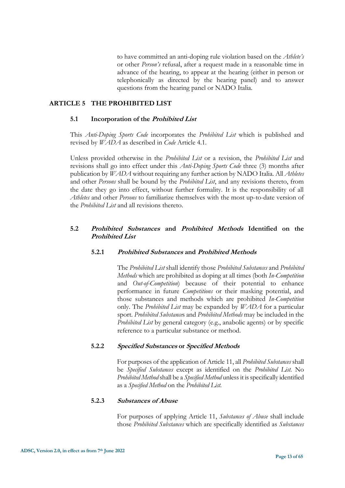to have committed an anti-doping rule violation based on the *Athlete's* or other *Person's* refusal, after a request made in a reasonable time in advance of the hearing, to appear at the hearing (either in person or telephonically as directed by the hearing panel) and to answer questions from the hearing panel or NADO Italia.

#### <span id="page-12-0"></span>**ARTICLE 5 THE PROHIBITED LIST**

#### **5.1 Incorporation of the Prohibited List**

This *Anti-Doping Sports Code* incorporates the *Prohibited List* which is published and revised by *WADA* as described in *Code* Article 4.1.

Unless provided otherwise in the *Prohibited List* or a revision, the *Prohibited List* and revisions shall go into effect under this *Anti-Doping Sports Code* three (3) months after publication by *WADA* without requiring any further action by NADO Italia*.* All *Athletes*  and other *Persons* shall be bound by the *Prohibited List*, and any revisions thereto, from the date they go into effect, without further formality. It is the responsibility of all *Athletes* and other *Persons* to familiarize themselves with the most up-to-date version of the *Prohibited List* and all revisions thereto.

# **5.2 Prohibited Substances and Prohibited Methods Identified on the Prohibited List**

#### **5.2.1 Prohibited Substances and Prohibited Methods**

The *Prohibited List* shall identify those *Prohibited Substances* and *Prohibited Methods* which are prohibited as doping at all times (both *In-Competition*  and *Out-of-Competition*) because of their potential to enhance performance in future *Competitions* or their masking potential, and those substances and methods which are prohibited *In-Competition*  only. The *Prohibited List* may be expanded by *WADA* for a particular sport. *Prohibited Substance*s and *Prohibited Methods* may be included in the *Prohibited List* by general category (e.g., anabolic agents) or by specific reference to a particular substance or method.

# **5.2.2 Specified Substances or Specified Methods**

For purposes of the application of Article 11, all *Prohibited Substances* shall be *Specified Substances* except as identified on the *Prohibited List*. No *Prohibited Method* shall be a *Specified Method* unless it is specifically identified as a *Specified Method* on the *Prohibited List*.

#### **5.2.3 Substances of Abuse**

For purposes of applying Article 11, *Substances of Abuse* shall include those *Prohibited Substances* which are specifically identified as *Substances*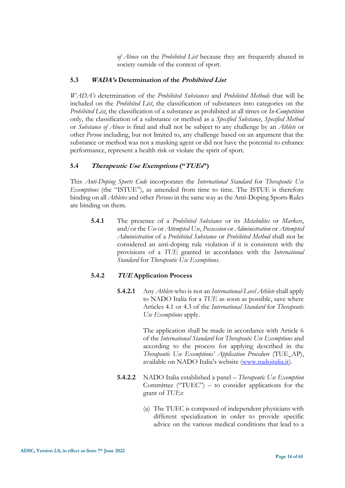*of Abuse* on the *Prohibited List* because they are frequently abused in society outside of the context of sport.

# **5.3 WADA's Determination of the Prohibited List**

*WADA's* determination of the *Prohibited Substances* and *Prohibited Methods* that will be included on the *Prohibited List*, the classification of substances into categories on the *Prohibited List*, the classification of a substance as prohibited at all times or *In-Competition* only, the classification of a substance or method as a *Specified Substance*, *Specified Method* or *Substance of Abuse* is final and shall not be subject to any challenge by an *Athlete* or other *Person* including, but not limited to, any challenge based on an argument that the substance or method was not a masking agent or did not have the potential to enhance performance, represent a health risk or violate the spirit of sport.

# **5.4 Therapeutic Use Exemptions ("TUEs")**

This *Anti-Doping Sports Code* incorporates the *International Standard* for *Therapeutic Use Exemptions* (the "ISTUE"), as amended from time to time. The ISTUE is therefore binding on all *Athletes* and other *Persons* in the same way as the Anti-Doping Sports Rules are binding on them.

**5.4.1** The presence of a *Prohibited Substance* or its *Metabolites* or *Markers*, and/or the *Use* or *Attempted Use*, *Possession* or *Administration* or *Attempted Administration* of a *Prohibited Substance* or *Prohibited Method* shall not be considered an anti-doping rule violation if it is consistent with the provisions of a *TUE* granted in accordance with the *International Standard* for *Therapeutic Use Exemptions*.

# **5.4.2 TUE Application Process**

**5.4.2.1** Any *Athlete* who is not an *International-Level Athlete* shall apply to NADO Italia for a *TUE* as soon as possible, save where Articles 4.1 or 4.3 of the *International Standard* for *Therapeutic Use Exemptions* apply.

> The application shall be made in accordance with Article 6 of the *International Standard* for *Therapeutic Use Exemptions* and according to the process for applying described in the *Therapeutic Use Exemptions' Application Procedure* (TUE\_AP), available on NADO Italia's website ([www.nadoitalia.it\)](http://www.nadoitalia.it/).

- **5.4.2.2** NADO Italia established a panel *Therapeutic Use Exemption* Committee ("TUEC") – to consider applications for the grant of *TUEs*:
	- (a) The TUEC is composed of independent physicians with different specialization in order to provide specific advice on the various medical conditions that lead to a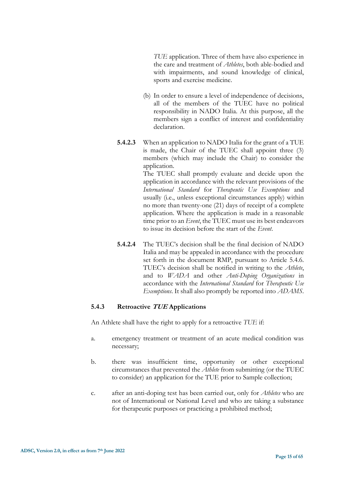*TUE* application. Three of them have also experience in the care and treatment of *Athletes*, both able-bodied and with impairments, and sound knowledge of clinical, sports and exercise medicine.

- (b) In order to ensure a level of independence of decisions, all of the members of the TUEC have no political responsibility in NADO Italia. At this purpose, all the members sign a conflict of interest and confidentiality declaration.
- **5.4.2.3** When an application to NADO Italia for the grant of a TUE is made, the Chair of the TUEC shall appoint three (3) members (which may include the Chair) to consider the application.

The TUEC shall promptly evaluate and decide upon the application in accordance with the relevant provisions of the *International Standard* for *Therapeutic Use Exemptions* and usually (i.e., unless exceptional circumstances apply) within no more than twenty-one (21) days of receipt of a complete application. Where the application is made in a reasonable time prior to an *Event*, the TUEC must use its best endeavors to issue its decision before the start of the *Event*.

**5.4.2.4** The TUEC's decision shall be the final decision of NADO Italia and may be appealed in accordance with the procedure set forth in the document RMP, pursuant to Article 5.4.6. TUEC's decision shall be notified in writing to the *Athlete*, and to *WADA* and other *Anti-Doping Organizations* in accordance with the *International Standard* for *Therapeutic Use Exemptions*. It shall also promptly be reported into *ADAMS*.

# **5.4.3 Retroactive TUE Applications**

An Athlete shall have the right to apply for a retroactive *TUE* if:

- a. emergency treatment or treatment of an acute medical condition was necessary;
- b. there was insufficient time, opportunity or other exceptional circumstances that prevented the *Athlete* from submitting (or the TUEC to consider) an application for the TUE prior to Sample collection;
- c. after an anti-doping test has been carried out, only for *Athletes* who are not of International or National Level and who are taking a substance for therapeutic purposes or practicing a prohibited method;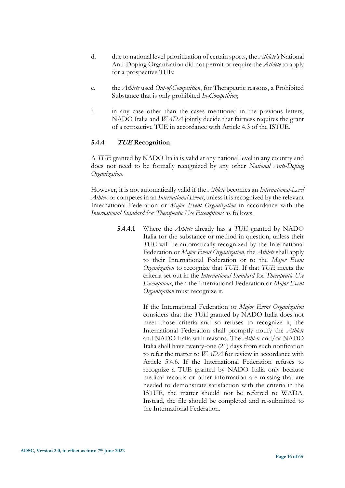- d. due to national level prioritization of certain sports, the *Athlete's* National Anti-Doping Organization did not permit or require the *Athlete* to apply for a prospective TUE;
- e. the *Athlete* used *Out-of-Competition*, for Therapeutic reasons, a Prohibited Substance that is only prohibited *In-Competition*;
- f. in any case other than the cases mentioned in the previous letters, NADO Italia and *WADA* jointly decide that fairness requires the grant of a retroactive TUE in accordance with Article 4.3 of the ISTUE.

#### **5.4.4 TUE Recognition**

A *TUE* granted by NADO Italia is valid at any national level in any country and does not need to be formally recognized by any other *National Anti-Doping Organization*.

However, it is not automatically valid if the *Athlete* becomes an *International-Level Athlete* or competes in an *International Event*, unless it is recognized by the relevant International Federation or *Major Event Organization* in accordance with the *International Standard* for *Therapeutic Use Exemptions* as follows.

> **5.4.4.1** Where the *Athlete* already has a *TUE* granted by NADO Italia for the substance or method in question, unless their *TUE* will be automatically recognized by the International Federation or *Major Event Organization*, the *Athlete* shall apply to their International Federation or to the *Major Event Organization* to recognize that *TUE*. If that *TUE* meets the criteria set out in the *International Standard* for *Therapeutic Use Exemptions*, then the International Federation or *Major Event Organization* must recognize it.

> > If the International Federation or *Major Event Organization* considers that the *TUE* granted by NADO Italia does not meet those criteria and so refuses to recognize it, the International Federation shall promptly notify the *Athlete* and NADO Italia with reasons. The *Athlete* and/or NADO Italia shall have twenty-one (21) days from such notification to refer the matter to *WADA* for review in accordance with Article 5.4.6. If the International Federation refuses to recognize a TUE granted by NADO Italia only because medical records or other information are missing that are needed to demonstrate satisfaction with the criteria in the ISTUE, the matter should not be referred to WADA. Instead, the file should be completed and re-submitted to the International Federation.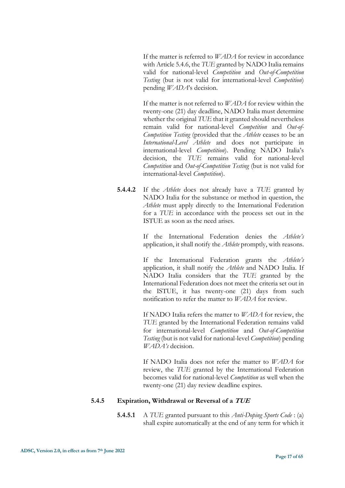If the matter is referred to *WADA* for review in accordance with Article 5.4.6, the *TUE* granted by NADO Italia remains valid for national-level *Competition* and *Out-of-Competition Testing* (but is not valid for international-level *Competition*) pending *WADA*'s decision.

If the matter is not referred to *WADA* for review within the twenty-one (21) day deadline, NADO Italia must determine whether the original *TUE* that it granted should nevertheless remain valid for national-level *Competition* and *Out-of-Competition Testing* (provided that the *Athlete* ceases to be an *International-Level Athlete* and does not participate in international-level *Competition*). Pending NADO Italia's decision, the *TUE* remains valid for national-level *Competition* and *Out-of-Competition Testing* (but is not valid for international-level *Competition*).

**5.4.4.2** If the *Athlete* does not already have a *TUE* granted by NADO Italia for the substance or method in question, the *Athlete* must apply directly to the International Federation for a *TUE* in accordance with the process set out in the ISTUE as soon as the need arises.

> If the International Federation denies the *Athlete's*  application, it shall notify the *Athlete* promptly, with reasons.

> If the International Federation grants the *Athlete's*  application, it shall notify the *Athlete* and NADO Italia. If NADO Italia considers that the *TUE* granted by the International Federation does not meet the criteria set out in the ISTUE, it has twenty-one (21) days from such notification to refer the matter to *WADA* for review.

> If NADO Italia refers the matter to *WADA* for review, the *TUE* granted by the International Federation remains valid for international-level *Competition* and *Out-of-Competition Testing* (but is not valid for national-level *Competition*) pending *WADA's* decision.

> If NADO Italia does not refer the matter to *WADA* for review, the *TUE* granted by the International Federation becomes valid for national-level *Competition* as well when the twenty-one (21) day review deadline expires.

# **5.4.5 Expiration, Withdrawal or Reversal of a TUE**

**5.4.5.1** A *TUE* granted pursuant to this *Anti-Doping Sports Code* : (a) shall expire automatically at the end of any term for which it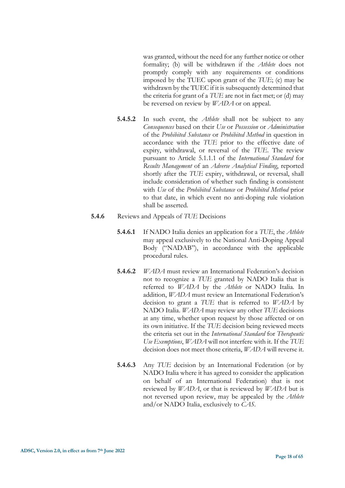was granted, without the need for any further notice or other formality; (b) will be withdrawn if the *Athlete* does not promptly comply with any requirements or conditions imposed by the TUEC upon grant of the *TUE*; (c) may be withdrawn by the TUEC if it is subsequently determined that the criteria for grant of a *TUE* are not in fact met; or (d) may be reversed on review by *WADA* or on appeal.

- **5.4.5.2** In such event, the *Athlete* shall not be subject to any *Consequences* based on their *Use* or *Possession* or *Administration* of the *Prohibited Substance* or *Prohibited Method* in question in accordance with the *TUE* prior to the effective date of expiry, withdrawal, or reversal of the *TUE*. The review pursuant to Article 5.1.1.1 of the *International Standard* for *Results Management* of an *Adverse Analytical Finding*, reported shortly after the *TUE* expiry, withdrawal, or reversal, shall include consideration of whether such finding is consistent with *Use* of the *Prohibited Substance* or *Prohibited Method* prior to that date, in which event no anti-doping rule violation shall be asserted.
- **5.4.6** Reviews and Appeals of *TUE* Decisions
	- **5.4.6.1** If NADO Italia denies an application for a *TUE*, the *Athlete*  may appeal exclusively to the National Anti-Doping Appeal Body ("NADAB"), in accordance with the applicable procedural rules.
	- **5.4.6.2** *WADA* must review an International Federation's decision not to recognize a *TUE* granted by NADO Italia that is referred to *WADA* by the *Athlete* or NADO Italia*.* In addition, *WADA* must review an International Federation's decision to grant a *TUE* that is referred to *WADA* by NADO Italia. *WADA* may review any other *TUE* decisions at any time, whether upon request by those affected or on its own initiative. If the *TUE* decision being reviewed meets the criteria set out in the *International Standard* for *Therapeutic Use Exemptions*, *WADA* will not interfere with it. If the *TUE* decision does not meet those criteria, *WADA* will reverse it.
	- **5.4.6.3** Any *TUE* decision by an International Federation (or by NADO Italia where it has agreed to consider the application on behalf of an International Federation) that is not reviewed by *WADA*, or that is reviewed by *WADA* but is not reversed upon review, may be appealed by the *Athlete*  and/or NADO Italia, exclusively to *CAS*.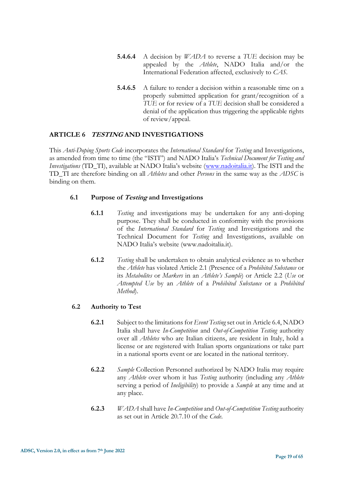- **5.4.6.4** A decision by *WADA* to reverse a *TUE* decision may be appealed by the *Athlete*, NADO Italia and/or the International Federation affected, exclusively to *CAS*.
- **5.4.6.5** A failure to render a decision within a reasonable time on a properly submitted application for grant/recognition of a *TUE* or for review of a *TUE* decision shall be considered a denial of the application thus triggering the applicable rights of review/appeal.

# <span id="page-18-0"></span>**ARTICLE 6 TESTING AND INVESTIGATIONS**

This *Anti-Doping Sports Code* incorporates the *International Standard* for *Testing* and Investigations, as amended from time to time (the "ISTI") and NADO Italia's *Technical Document for Testing and Investigations* (TD\_TI), available at NADO Italia's website ([www.nadoitalia.it\)](http://www.nadoitalia.it/). The ISTI and the TD\_TI are therefore binding on all *Athletes* and other *Persons* in the same way as the *ADSC* is binding on them.

# **6.1 Purpose of Testing and Investigations**

- **6.1.1** *Testing* and investigations may be undertaken for any anti-doping purpose. They shall be conducted in conformity with the provisions of the *International Standard* for *Testing* and Investigations and the Technical Document for *Testing* and Investigations, available on NADO Italia's website (www.nadoitalia.it).
- **6.1.2** *Testing* shall be undertaken to obtain analytical evidence as to whether the *Athlete* has violated Article 2.1 (Presence of a *Prohibited Substance* or its *Metabolites* or *Markers* in an *Athlete's Sample*) or Article 2.2 (*Use* or *Attempted Use* by an *Athlete* of a *Prohibited Substance* or a *Prohibited Method*).

# **6.2 Authority to Test**

- **6.2.1** Subject to the limitations for *Event Testing* set out in Article 6.4, NADO Italia shall have *In-Competition* and *Out-of-Competition Testing* authority over all *Athletes* who are Italian citizens, are resident in Italy, hold a license or are registered with Italian sports organizations or take part in a national sports event or are located in the national territory.
- **6.2.2** *Sample* Collection Personnel authorized by NADO Italia may require any *Athlete* over whom it has *Testing* authority (including any *Athlete* serving a period of *Ineligibility*) to provide a *Sample* at any time and at any place.
- **6.2.3** *WADA* shall have *In-Competition* and *Out-of-Competition Testing* authority as set out in Article 20.7.10 of the *Code*.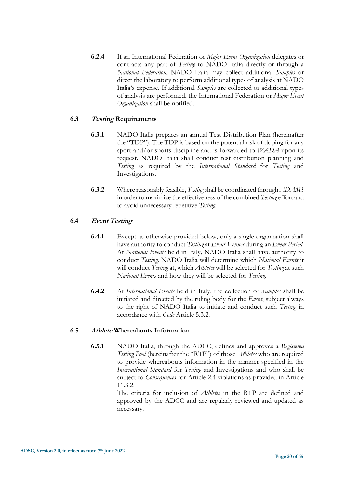**6.2.4** If an International Federation or *Major Event Organization* delegates or contracts any part of *Testing* to NADO Italia directly or through a *National Federation*, NADO Italia may collect additional *Samples* or direct the laboratory to perform additional types of analysis at NADO Italia's expense. If additional *Samples* are collected or additional types of analysis are performed, the International Federation or *Major Event Organization* shall be notified.

# **6.3 Testing Requirements**

- **6.3.1** NADO Italia prepares an annual Test Distribution Plan (hereinafter the "TDP"). The TDP is based on the potential risk of doping for any sport and/or sports discipline and is forwarded to *WADA* upon its request. NADO Italia shall conduct test distribution planning and *Testing* as required by the *International Standard* for *Testing* and Investigations.
- **6.3.2** Where reasonably feasible, *Testing*shall be coordinated through *ADAMS* in order to maximize the effectiveness of the combined *Testing* effort and to avoid unnecessary repetitive *Testing*.

# **6.4 Event Testing**

- **6.4.1** Except as otherwise provided below, only a single organization shall have authority to conduct *Testing* at *Event Venues* during an *Event Period*. At *National Events* held in Italy*,* NADO Italia shall have authority to conduct *Testing*. NADO Italia will determine which *National Events* it will conduct *Testing* at, which *Athletes* will be selected for *Testing* at such *National Events* and how they will be selected for *Testing*.
- **6.4.2** At *International Events* held in Italy, the collection of *Samples* shall be initiated and directed by the ruling body for the *Event*, subject always to the right of NADO Italia to initiate and conduct such *Testing* in accordance with *Code* Article 5.3.2.

# **6.5 Athlete Whereabouts Information**

**6.5.1** NADO Italia, through the ADCC, defines and approves a *Registered Testing Pool* (hereinafter the "RTP") of those *Athletes* who are required to provide whereabouts information in the manner specified in the *International Standard* for *Testing* and Investigations and who shall be subject to *Consequences* for Article 2.4 violations as provided in Article 11.3.2.

> The criteria for inclusion of *Athletes* in the RTP are defined and approved by the ADCC and are regularly reviewed and updated as necessary.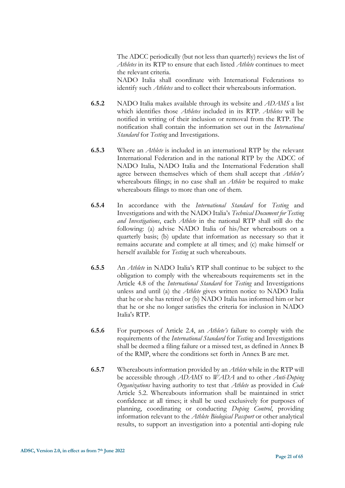The ADCC periodically (but not less than quarterly) reviews the list of *Athletes* in its RTP to ensure that each listed *Athlete* continues to meet the relevant criteria.

NADO Italia shall coordinate with International Federations to identify such *Athletes* and to collect their whereabouts information.

- **6.5.2** NADO Italia makes available through its website and *ADAMS* a list which identifies those *Athletes* included in its RTP. *Athletes* will be notified in writing of their inclusion or removal from the RTP. The notification shall contain the information set out in the *International Standard* for *Testing* and Investigations.
- **6.5.3** Where an *Athlete* is included in an international RTP by the relevant International Federation and in the national RTP by the ADCC of NADO Italia, NADO Italia and the International Federation shall agree between themselves which of them shall accept that *Athlete's*  whereabouts filings; in no case shall an *Athlete* be required to make whereabouts filings to more than one of them.
- **6.5.4** In accordance with the *International Standard* for *Testing* and Investigations and with the NADO Italia's *Technical Document for Testing and Investigations*, each *Athlete* in the national RTP shall still do the following: (a) advise NADO Italia of his/her whereabouts on a quarterly basis; (b) update that information as necessary so that it remains accurate and complete at all times; and (c) make himself or herself available for *Testing* at such whereabouts.
- **6.5.5** An *Athlete* in NADO Italia's RTP shall continue to be subject to the obligation to comply with the whereabouts requirements set in the Article 4.8 of the *International Standard* for *Testing* and Investigations unless and until (a) the *Athlete* gives written notice to NADO Italia that he or she has retired or (b) NADO Italia has informed him or her that he or she no longer satisfies the criteria for inclusion in NADO Italia's RTP.
- **6.5.6** For purposes of Article 2.4, an *Athlete's* failure to comply with the requirements of the *International Standard* for *Testing* and Investigations shall be deemed a filing failure or a missed test, as defined in Annex B of the RMP, where the conditions set forth in Annex B are met.
- **6.5.7** Whereabouts information provided by an *Athlete* while in the RTP will be accessible through *ADAMS* to *WADA* and to other *Anti-Doping Organizations* having authority to test that *Athlete* as provided in *Code* Article 5.2. Whereabouts information shall be maintained in strict confidence at all times; it shall be used exclusively for purposes of planning, coordinating or conducting *Doping Control*, providing information relevant to the *Athlete Biological Passport* or other analytical results, to support an investigation into a potential anti-doping rule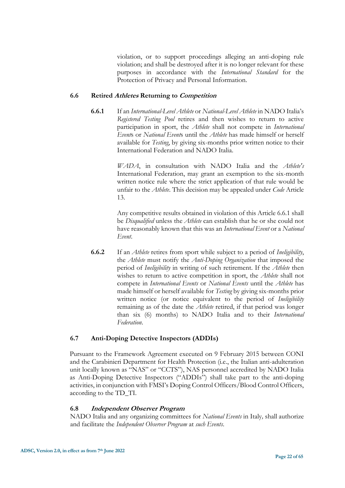violation, or to support proceedings alleging an anti-doping rule violation; and shall be destroyed after it is no longer relevant for these purposes in accordance with the *International Standard* for the Protection of Privacy and Personal Information.

#### **6.6 Retired Athletes Returning to Competition**

**6.6.1** If an *International-Level Athlete* or *National-Level Athlete* in NADO Italia's *Registered Testing Pool* retires and then wishes to return to active participation in sport, the *Athlete* shall not compete in *International Event*s or *National Event*s until the *Athlete* has made himself or herself available for *Testing*, by giving six-months prior written notice to their International Federation and NADO Italia.

> *WADA*, in consultation with NADO Italia and the *Athlete's*  International Federation, may grant an exemption to the six-month written notice rule where the strict application of that rule would be unfair to the *Athlete*. This decision may be appealed under *Code* Article 13.

> Any competitive results obtained in violation of this Article 6.6.1 shall be *Disqualified* unless the *Athlete* can establish that he or she could not have reasonably known that this was an *International Event* or a *National Event*.

**6.6.2** If an *Athlete* retires from sport while subject to a period of *Ineligibility*, the *Athlete* must notify the *Anti-Doping Organization* that imposed the period of *Ineligibility* in writing of such retirement. If the *Athlete* then wishes to return to active competition in sport, the *Athlete* shall not compete in *International Events* or *National Events* until the *Athlete* has made himself or herself available for *Testing* by giving six-months prior written notice (or notice equivalent to the period of *Ineligibility*  remaining as of the date the *Athlete* retired, if that period was longer than six (6) months) to NADO Italia and to their *International Federation*.

# **6.7 Anti-Doping Detective Inspectors (ADDIs)**

Pursuant to the Framework Agreement executed on 9 February 2015 between CONI and the Carabinieri Department for Health Protection (i.e., the Italian anti-adulteration unit locally known as "NAS" or "CCTS"), NAS personnel accredited by NADO Italia as Anti-Doping Detective Inspectors ("ADDIs") shall take part to the anti-doping activities, in conjunction with FMSI's Doping Control Officers/Blood Control Officers, according to the TD\_TI.

#### **6.8 Independent Observer Program**

NADO Italia and any organizing committees for *National Events* in Italy*,* shall authorize and facilitate the *Independent Observer Program* at *such Events*.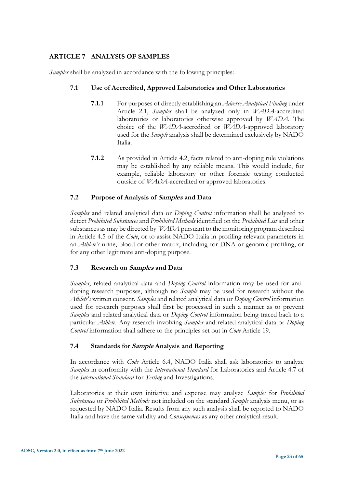# <span id="page-22-0"></span>**ARTICLE 7 ANALYSIS OF SAMPLES**

*Samples* shall be analyzed in accordance with the following principles:

# **7.1 Use of Accredited, Approved Laboratories and Other Laboratories**

- **7.1.1** For purposes of directly establishing an *Adverse Analytical Finding* under Article 2.1, *Samples* shall be analyzed only in *WADA*-accredited laboratories or laboratories otherwise approved by *WADA*. The choice of the *WADA*-accredited or *WADA*-approved laboratory used for the *Sample* analysis shall be determined exclusively by NADO Italia.
- **7.1.2** As provided in Article 4.2, facts related to anti-doping rule violations may be established by any reliable means. This would include, for example, reliable laboratory or other forensic testing conducted outside of *WADA*-accredited or approved laboratories.

# **7.2 Purpose of Analysis of Samples and Data**

*Samples* and related analytical data or *Doping Control* information shall be analyzed to detect *Prohibited Substances* and *Prohibited Methods* identified on the *Prohibited List* and other substances as may be directed by *WADA* pursuant to the monitoring program described in Article 4.5 of the *Code*, or to assist NADO Italia in profiling relevant parameters in an *Athlete's* urine, blood or other matrix, including for DNA or genomic profiling, or for any other legitimate anti-doping purpose.

# **7.3 Research on Samples and Data**

*Samples*, related analytical data and *Doping Control* information may be used for antidoping research purposes, although no *Sample* may be used for research without the *Athlete's* written consent. *Samples* and related analytical data or *Doping Control* information used for research purposes shall first be processed in such a manner as to prevent *Samples* and related analytical data or *Doping Control* information being traced back to a particular *Athlete*. Any research involving *Samples* and related analytical data or *Doping Control* information shall adhere to the principles set out in *Code* Article 19.

# **7.4 Standards for Sample Analysis and Reporting**

In accordance with *Code* Article 6.4, NADO Italia shall ask laboratories to analyze *Samples* in conformity with the *International Standard* for Laboratories and Article 4.7 of the *International Standard* for *Testing* and Investigations.

Laboratories at their own initiative and expense may analyze *Samples* for *Prohibited Substances* or *Prohibited Methods* not included on the standard *Sample* analysis menu, or as requested by NADO Italia. Results from any such analysis shall be reported to NADO Italia and have the same validity and *Consequences* as any other analytical result.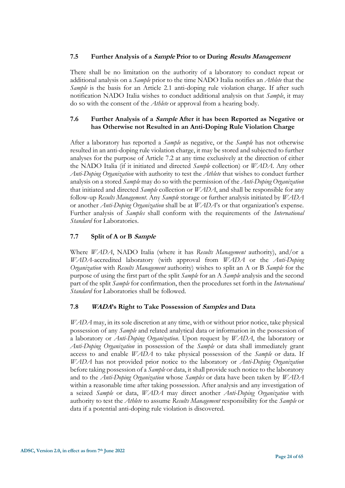# **7.5 Further Analysis of a Sample Prior to or During Results Management**

There shall be no limitation on the authority of a laboratory to conduct repeat or additional analysis on a *Sample* prior to the time NADO Italia notifies an *Athlete* that the *Sample* is the basis for an Article 2.1 anti-doping rule violation charge. If after such notification NADO Italia wishes to conduct additional analysis on that *Sample*, it may do so with the consent of the *Athlete* or approval from a hearing body.

# **7.6 Further Analysis of a Sample After it has been Reported as Negative or has Otherwise not Resulted in an Anti-Doping Rule Violation Charge**

After a laboratory has reported a *Sample* as negative, or the *Sample* has not otherwise resulted in an anti-doping rule violation charge, it may be stored and subjected to further analyses for the purpose of Article 7.2 at any time exclusively at the direction of either the NADO Italia (if it initiated and directed *Sample* collection) or *WADA*. Any other *Anti-Doping Organization* with authority to test the *Athlete* that wishes to conduct further analysis on a stored *Sample* may do so with the permission of the *Anti-Doping Organization* that initiated and directed *Sample* collection or *WADA*, and shall be responsible for any follow-up *Results Management*. Any *Sample* storage or further analysis initiated by *WADA* or another *Anti-Doping Organization* shall be at *WADA*'s or that organization's expense. Further analysis of *Samples* shall conform with the requirements of the *International Standard* for Laboratories.

# **7.7 Split of A or B Sample**

Where *WADA*, NADO Italia (where it has *Results Management* authority), and/or a *WADA*-accredited laboratory (with approval from *WADA* or the *Anti-Doping Organization* with *Results Management* authority) wishes to split an A or B *Sample* for the purpose of using the first part of the split *Sample* for an A *Sample* analysis and the second part of the split *Sample* for confirmation, then the procedures set forth in the *International Standard* for Laboratories shall be followed.

# **7.8 WADA's Right to Take Possession of Samples and Data**

*WADA* may, in its sole discretion at any time, with or without prior notice, take physical possession of any *Sample* and related analytical data or information in the possession of a laboratory or *Anti-Doping Organization*. Upon request by *WADA*, the laboratory or *Anti-Doping Organization* in possession of the *Sample* or data shall immediately grant access to and enable *WADA* to take physical possession of the *Sample* or data. If *WADA* has not provided prior notice to the laboratory or *Anti-Doping Organization* before taking possession of a *Sample* or data, it shall provide such notice to the laboratory and to the *Anti-Doping Organization* whose *Samples* or data have been taken by *WADA* within a reasonable time after taking possession. After analysis and any investigation of a seized *Sample* or data, *WADA* may direct another *Anti-Doping Organization* with authority to test the *Athlete* to assume *Results Management* responsibility for the *Sample* or data if a potential anti-doping rule violation is discovered.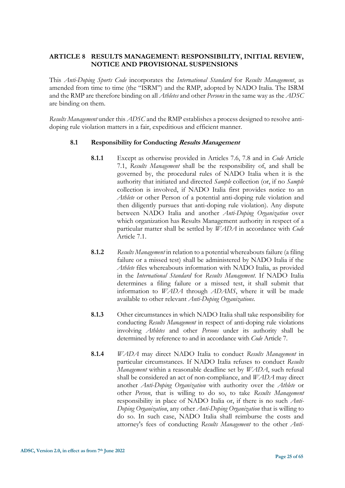# <span id="page-24-0"></span>**ARTICLE 8 RESULTS MANAGEMENT: RESPONSIBILITY, INITIAL REVIEW, NOTICE AND PROVISIONAL SUSPENSIONS**

This *Anti-Doping Sports Code* incorporates the *International Standard* for *Results Management*, as amended from time to time (the "ISRM") and the RMP, adopted by NADO Italia. The ISRM and the RMP are therefore binding on all *Athletes* and other *Persons* in the same way as the *ADSC* are binding on them.

*Results Management* under this *ADSC* and the RMP establishes a process designed to resolve antidoping rule violation matters in a fair, expeditious and efficient manner.

#### **8.1 Responsibility for Conducting Results Management**

- **8.1.1** Except as otherwise provided in Articles 7.6, 7.8 and in *Code* Article 7.1, *Results Management* shall be the responsibility of, and shall be governed by, the procedural rules of NADO Italia when it is the authority that initiated and directed *Sample* collection (or, if no *Sample* collection is involved, if NADO Italia first provides notice to an *Athlete* or other Person of a potential anti-doping rule violation and then diligently pursues that anti-doping rule violation). Any dispute between NADO Italia and another *Anti-Doping Organization* over which organization has Results Management authority in respect of a particular matter shall be settled by *WADA* in accordance with *Code* Article 7.1.
- **8.1.2** *Results Management* in relation to a potential whereabouts failure (a filing failure or a missed test) shall be administered by NADO Italia if the *Athlete* files whereabouts information with NADO Italia, as provided in the *International Standard* for *Results Management*. If NADO Italia determines a filing failure or a missed test, it shall submit that information to *WADA* through *ADAMS*, where it will be made available to other relevant *Anti-Doping Organizations*.
- **8.1.3** Other circumstances in which NADO Italia shall take responsibility for conducting *Results Management* in respect of anti-doping rule violations involving *Athletes* and other *Persons* under its authority shall be determined by reference to and in accordance with *Code* Article 7*.*
- **8.1.4** *WADA* may direct NADO Italia to conduct *Results Management* in particular circumstances. If NADO Italia refuses to conduct *Results Management* within a reasonable deadline set by *WADA*, such refusal shall be considered an act of non-compliance, and *WADA* may direct another *Anti-Doping Organization* with authority over the *Athlete* or other *Person*, that is willing to do so, to take *Results Management*  responsibility in place of NADO Italia or, if there is no such *Anti-Doping Organization*, any other *Anti-Doping Organization* that is willing to do so. In such case, NADO Italia shall reimburse the costs and attorney's fees of conducting *Results Management* to the other *Anti-*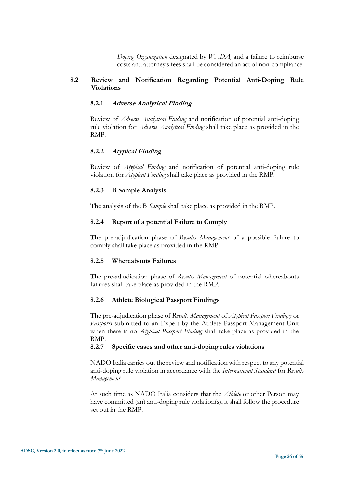*Doping Organization* designated by *WADA,* and a failure to reimburse costs and attorney's fees shall be considered an act of non-compliance.

# **8.2 Review and Notification Regarding Potential Anti-Doping Rule Violations**

#### **8.2.1 Adverse Analytical Finding**

Review of *Adverse Analytical Finding* and notification of potential anti-doping rule violation for *Adverse Analytical Finding* shall take place as provided in the RMP.

#### **8.2.2 Atypical Finding**

Review of *Atypical Finding* and notification of potential anti-doping rule violation for *Atypical Finding* shall take place as provided in the RMP.

#### **8.2.3 B Sample Analysis**

The analysis of the B *Sample* shall take place as provided in the RMP.

#### **8.2.4 Report of a potential Failure to Comply**

The pre-adjudication phase of *Results Management* of a possible failure to comply shall take place as provided in the RMP.

#### **8.2.5 Whereabouts Failures**

The pre-adjudication phase of *Results Management* of potential whereabouts failures shall take place as provided in the RMP.

#### **8.2.6 Athlete Biological Passport Findings**

The pre-adjudication phase of *Results Management* of *Atypical Passport Findings* or *Passports* submitted to an Expert by the Athlete Passport Management Unit when there is no *Atypical Passport Finding* shall take place as provided in the RMP.

#### **8.2.7 Specific cases and other anti-doping rules violations**

NADO Italia carries out the review and notification with respect to any potential anti-doping rule violation in accordance with the *International Standard* for *Results Management*.

At such time as NADO Italia considers that the *Athlete* or other Person may have committed (an) anti-doping rule violation(s), it shall follow the procedure set out in the RMP.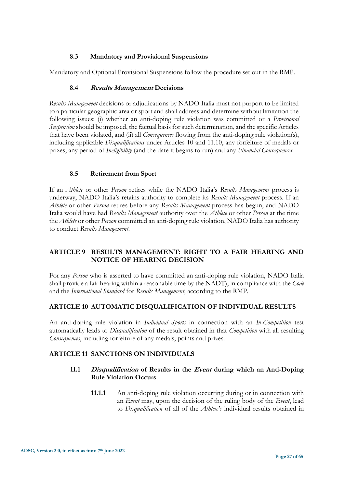# **8.3 Mandatory and Provisional Suspensions**

Mandatory and Optional Provisional Suspensions follow the procedure set out in the RMP.

# **8.4 Results Management Decisions**

*Results Management* decisions or adjudications by NADO Italia must not purport to be limited to a particular geographic area or sport and shall address and determine without limitation the following issues: (i) whether an anti-doping rule violation was committed or a *Provisional Suspension* should be imposed, the factual basis for such determination, and the specific Articles that have been violated, and (ii) all *Consequences* flowing from the anti-doping rule violation(s), including applicable *Disqualifications* under Articles 10 and 11.10, any forfeiture of medals or prizes, any period of *Ineligibility* (and the date it begins to run) and any *Financial Consequences.*

# **8.5 Retirement from Sport**

If an *Athlete* or other *Person* retires while the NADO Italia's *Results Management* process is underway, NADO Italia's retains authority to complete its *Results Management* process. If an *Athlete* or other *Person* retires before any *Results Management* process has begun, and NADO Italia would have had *Results Management* authority over the *Athlete* or other *Person* at the time the *Athlete* or other *Person* committed an anti-doping rule violation, NADO Italia has authority to conduct *Results Management*.

# <span id="page-26-0"></span>**ARTICLE 9 RESULTS MANAGEMENT: RIGHT TO A FAIR HEARING AND NOTICE OF HEARING DECISION**

<span id="page-26-1"></span>For any *Person* who is asserted to have committed an anti-doping rule violation, NADO Italia shall provide a fair hearing within a reasonable time by the NADT), in compliance with the *Code* and the *International Standard* for *Results Management*, according to the RMP.

# **ARTICLE 10 AUTOMATIC DISQUALIFICATION OF INDIVIDUAL RESULTS**

<span id="page-26-2"></span>An anti-doping rule violation in *Individual Sports* in connection with an *In-Competition* test automatically leads to *Disqualification* of the result obtained in that *Competition* with all resulting *Consequences*, including forfeiture of any medals, points and prizes.

# **ARTICLE 11 SANCTIONS ON INDIVIDUALS**

# **11.1 Disqualification of Results in the Event during which an Anti-Doping Rule Violation Occurs**

**11.1.1** An anti-doping rule violation occurring during or in connection with an *Event* may, upon the decision of the ruling body of the *Event*, lead to *Disqualification* of all of the *Athlete's* individual results obtained in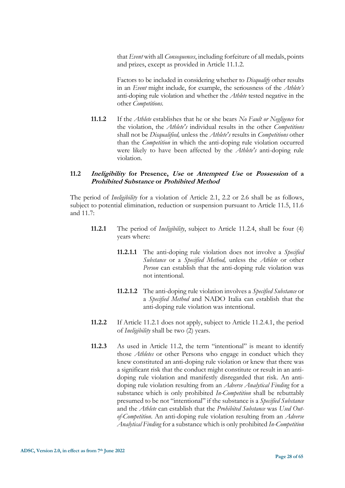that *Event* with all *Consequences*, including forfeiture of all medals, points and prizes, except as provided in Article 11.1.2.

Factors to be included in considering whether to *Disqualify* other results in an *Event* might include, for example, the seriousness of the *Athlete's*  anti-doping rule violation and whether the *Athlete* tested negative in the other *Competitions*.

**11.1.2** If the *Athlete* establishes that he or she bears *No Fault or Negligence* for the violation, the *Athlete's* individual results in the other *Competitions* shall not be *Disqualified,* unless the *Athlete's* results in *Competitions* other than the *Competition* in which the anti-doping rule violation occurred were likely to have been affected by the *Athlete's* anti-doping rule violation.

#### **11.2 Ineligibility for Presence, Use or Attempted Use or Possession of a Prohibited Substance or Prohibited Method**

The period of *Ineligibility* for a violation of Article 2.1, 2.2 or 2.6 shall be as follows, subject to potential elimination, reduction or suspension pursuant to Article 11.5, 11.6 and 11.7:

- **11.2.1** The period of *Ineligibility*, subject to Article 11.2.4, shall be four (4) years where:
	- **11.2.1.1** The anti-doping rule violation does not involve a *Specified Substance* or a *Specified Method,* unless the *Athlete* or other *Person* can establish that the anti-doping rule violation was not intentional.
	- **11.2.1.2** The anti-doping rule violation involves a *Specified Substance* or a *Specified Method* and NADO Italia can establish that the anti-doping rule violation was intentional.
- **11.2.2** If Article 11.2.1 does not apply, subject to Article 11.2.4.1, the period of *Ineligibility* shall be two (2) years.
- **11.2.3** As used in Article 11.2, the term "intentional" is meant to identify those *Athletes* or other Persons who engage in conduct which they knew constituted an anti-doping rule violation or knew that there was a significant risk that the conduct might constitute or result in an antidoping rule violation and manifestly disregarded that risk. An antidoping rule violation resulting from an *Adverse Analytical Finding* for a substance which is only prohibited *In-Competition* shall be rebuttably presumed to be not "intentional" if the substance is a *Specified Substance*  and the *Athlete* can establish that the *Prohibited Substance* was *Used Outof-Competition*. An anti-doping rule violation resulting from an *Adverse Analytical Finding* for a substance which is only prohibited *In-Competition*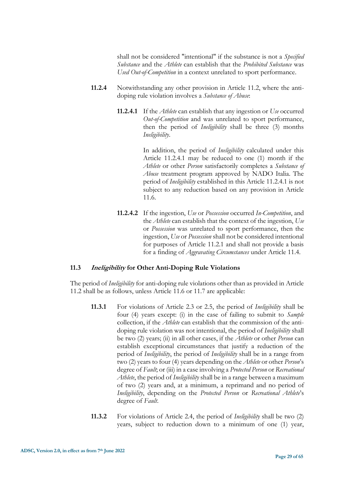shall not be considered "intentional" if the substance is not a *Specified Substance* and the *Athlete* can establish that the *Prohibited Substance* was *Used Out-of-Competition* in a context unrelated to sport performance.

- **11.2.4** Notwithstanding any other provision in Article 11.2, where the antidoping rule violation involves a *Substance of Abuse*:
	- **11.2.4.1** If the *Athlete* can establish that any ingestion or *Use* occurred *Out-of-Competition* and was unrelated to sport performance, then the period of *Ineligibility* shall be three (3) months *Ineligibility*.

In addition, the period of *Ineligibility* calculated under this Article 11.2.4.1 may be reduced to one (1) month if the *Athlete* or other *Person* satisfactorily completes a *Substance of Abuse* treatment program approved by NADO Italia. The period of *Ineligibility* established in this Article 11.2.4.1 is not subject to any reduction based on any provision in Article 11.6.

**11.2.4.2** If the ingestion, *Use* or *Possession* occurred *In-Competition*, and the *Athlete* can establish that the context of the ingestion, *Use* or *Possession* was unrelated to sport performance, then the ingestion, *Use* or *Possession* shall not be considered intentional for purposes of Article 11.2.1 and shall not provide a basis for a finding of *Aggravating Circumstances* under Article 11.4.

# **11.3 Ineligibility for Other Anti-Doping Rule Violations**

The period of *Ineligibility* for anti-doping rule violations other than as provided in Article 11.2 shall be as follows, unless Article 11.6 or 11.7 are applicable:

- **11.3.1** For violations of Article 2.3 or 2.5, the period of *Ineligibility* shall be four (4) years except: (i) in the case of failing to submit to *Sample* collection, if the *Athlete* can establish that the commission of the antidoping rule violation was not intentional, the period of *Ineligibility* shall be two (2) years; (ii) in all other cases, if the *Athlete* or other *Person* can establish exceptional circumstances that justify a reduction of the period of *Ineligibility*, the period of *Ineligibility* shall be in a range from two (2) years to four (4) years depending on the *Athlete* or other *Person*'s degree of *Fault*; or (iii) in a case involving a *Protected Person* or *Recreational Athlete*, the period of *Ineligibility* shall be in a range between a maximum of two (2) years and, at a minimum, a reprimand and no period of *Ineligibility*, depending on the *Protected Person* or *Recreational Athlete*'s degree of *Fault*.
- **11.3.2** For violations of Article 2.4, the period of *Ineligibility* shall be two (2) years, subject to reduction down to a minimum of one (1) year,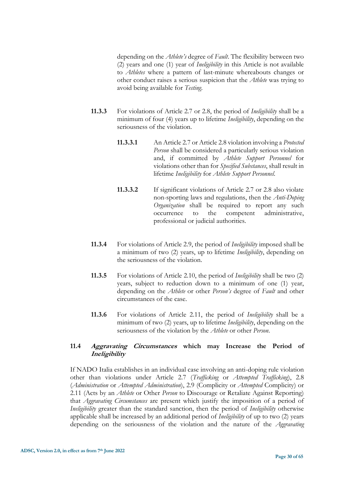depending on the *Athlete's* degree of *Fault*. The flexibility between two (2) years and one (1) year of *Ineligibility* in this Article is not available to *Athletes* where a pattern of last-minute whereabouts changes or other conduct raises a serious suspicion that the *Athlete* was trying to avoid being available for *Testing*.

- **11.3.3** For violations of Article 2.7 or 2.8, the period of *Ineligibility* shall be a minimum of four (4) years up to lifetime *Ineligibility*, depending on the seriousness of the violation.
	- **11.3.3.1** An Article 2.7 or Article 2.8 violation involving a *Protected Person* shall be considered a particularly serious violation and, if committed by *Athlete Support Personnel* for violations other than for *Specified Substances*, shall result in lifetime *Ineligibility* for *Athlete Support Personnel*.
	- **11.3.3.2** If significant violations of Article 2.7 or 2.8 also violate non-sporting laws and regulations, then the *Anti-Doping Organization* shall be required to report any such occurrence to the competent administrative, professional or judicial authorities.
- **11.3.4** For violations of Article 2.9, the period of *Ineligibility* imposed shall be a minimum of two (2) years, up to lifetime *Ineligibility*, depending on the seriousness of the violation.
- **11.3.5** For violations of Article 2.10, the period of *Ineligibility* shall be two (2) years, subject to reduction down to a minimum of one (1) year, depending on the *Athlete* or other *Person's* degree of *Fault* and other circumstances of the case.
- **11.3.6** For violations of Article 2.11, the period of *Ineligibility* shall be a minimum of two (2) years, up to lifetime *Ineligibility*, depending on the seriousness of the violation by the *Athlete* or other *Person*.

# **11.4 Aggravating Circumstances which may Increase the Period of Ineligibility**

If NADO Italia establishes in an individual case involving an anti-doping rule violation other than violations under Article 2.7 (*Trafficking* or *Attempted Trafficking*), 2.8 (*Administration* or *Attempted Administration*), 2.9 (Complicity or *Attempted* Complicity) or 2.11 (Acts by an *Athlete* or Other *Person* to Discourage or Retaliate Against Reporting) that *Aggravating Circumstances* are present which justify the imposition of a period of *Ineligibility* greater than the standard sanction, then the period of *Ineligibility* otherwise applicable shall be increased by an additional period of *Ineligibility* of up to two (2) years depending on the seriousness of the violation and the nature of the *Aggravating*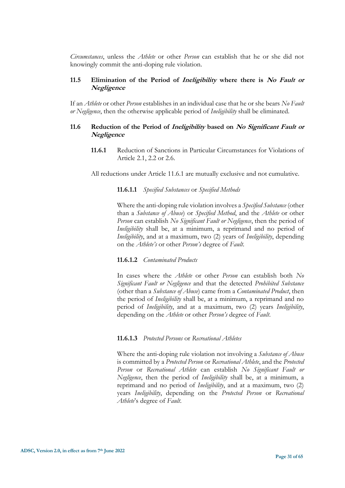*Circumstances*, unless the *Athlete* or other *Person* can establish that he or she did not knowingly commit the anti-doping rule violation.

# **11.5 Elimination of the Period of Ineligibility where there is No Fault or Negligence**

If an *Athlete* or other *Person* establishes in an individual case that he or she bears *No Fault or Negligence*, then the otherwise applicable period of *Ineligibility* shall be eliminated.

# **11.6 Reduction of the Period of Ineligibility based on No Significant Fault or Negligence**

**11.6.1** Reduction of Sanctions in Particular Circumstances for Violations of Article 2.1, 2.2 or 2.6.

All reductions under Article 11.6.1 are mutually exclusive and not cumulative.

#### **11.6.1.1** *Specified Substances* or *Specified Methods*

Where the anti-doping rule violation involves a *Specified Substance* (other than a *Substance of Abuse*) or *Specified Method*, and the *Athlete* or other *Person* can establish *No Significant Fault or Negligence*, then the period of *Ineligibility* shall be, at a minimum, a reprimand and no period of *Ineligibility*, and at a maximum, two (2) years of *Ineligibility*, depending on the *Athlete's* or other *Person's* degree of *Fault*.

#### **11.6.1.2** *Contaminated Products*

In cases where the *Athlete* or other *Person* can establish both *No Significant Fault or Negligence* and that the detected *Prohibited Substance* (other than a *Substance of Abuse*) came from a *Contaminated Product*, then the period of *Ineligibility* shall be, at a minimum, a reprimand and no period of *Ineligibility*, and at a maximum, two (2) years *Ineligibility*, depending on the *Athlete* or other *Person's* degree of *Fault*.

#### **11.6.1.3** *Protected Persons* or *Recreational Athletes*

Where the anti-doping rule violation not involving a *Substance of Abuse* is committed by a *Protected Person* or *Recreational Athlete*, and the *Protected Person* or *Recreational Athlete* can establish *No Significant Fault or Negligence*, then the period of *Ineligibility* shall be, at a minimum, a reprimand and no period of *Ineligibility*, and at a maximum, two (2) years *Ineligibility*, depending on the *Protected Person* or *Recreational Athlete*'s degree of *Fault*.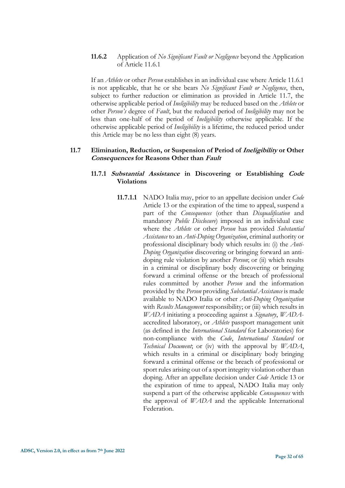**11.6.2** Application of *No Significant Fault or Negligence* beyond the Application of Article 11.6.1

If an *Athlete* or other *Person* establishes in an individual case where Article 11.6.1 is not applicable, that he or she bears *No Significant Fault or Negligence*, then, subject to further reduction or elimination as provided in Article 11.7, the otherwise applicable period of *Ineligibility* may be reduced based on the *Athlete* or other *Person's* degree of *Fault*, but the reduced period of *Ineligibility* may not be less than one-half of the period of *Ineligibility* otherwise applicable. If the otherwise applicable period of *Ineligibility* is a lifetime, the reduced period under this Article may be no less than eight (8) years.

#### **11.7 Elimination, Reduction, or Suspension of Period of Ineligibility or Other Consequences for Reasons Other than Fault**

# **11.7.1 Substantial Assistance in Discovering or Establishing Code Violations**

**11.7.1.1** NADO Italia may, prior to an appellate decision under *Code* Article 13 or the expiration of the time to appeal, suspend a part of the *Consequences* (other than *Disqualification* and mandatory *Public Disclosure*) imposed in an individual case where the *Athlete* or other *Person* has provided *Substantial Assistance* to an *Anti-Doping Organization*, criminal authority or professional disciplinary body which results in: (i) the *Anti-Doping Organization* discovering or bringing forward an antidoping rule violation by another *Person*; or (ii) which results in a criminal or disciplinary body discovering or bringing forward a criminal offense or the breach of professional rules committed by another *Person* and the information provided by the *Person* providing *Substantial Assistance* is made available to NADO Italia or other *Anti-Doping Organization*  with *Results Management* responsibility; or (iii) which results in *WADA* initiating a proceeding against a *Signatory*, *WADA*accredited laboratory, or *Athlete* passport management unit (as defined in the *International Standard* for Laboratories) for non-compliance with the *Code*, *International Standard* or *Technical Document*; or (iv) with the approval by *WADA*, which results in a criminal or disciplinary body bringing forward a criminal offense or the breach of professional or sport rules arising out of a sport integrity violation other than doping. After an appellate decision under *Code* Article 13 or the expiration of time to appeal, NADO Italia may only suspend a part of the otherwise applicable *Consequences* with the approval of *WADA* and the applicable International Federation.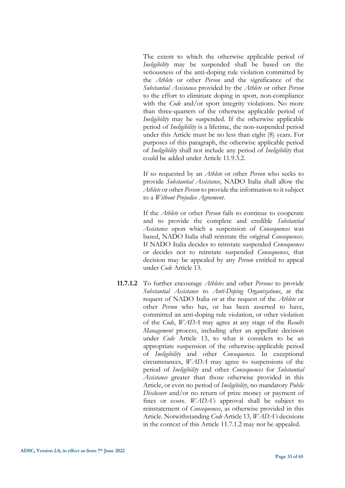The extent to which the otherwise applicable period of *Ineligibility* may be suspended shall be based on the seriousness of the anti-doping rule violation committed by the *Athlete* or other *Person* and the significance of the *Substantial Assistance* provided by the *Athlete* or other *Person*  to the effort to eliminate doping in sport, non-compliance with the *Code* and/or sport integrity violations. No more than three-quarters of the otherwise applicable period of *Ineligibility* may be suspended. If the otherwise applicable period of *Ineligibility* is a lifetime, the non-suspended period under this Article must be no less than eight (8) years. For purposes of this paragraph, the otherwise applicable period of *Ineligibility* shall not include any period of *Ineligibility* that could be added under Article 11.9.3.2.

If so requested by an *Athlete* or other *Person* who seeks to provide *Substantial Assistance*, NADO Italia shall allow the *Athlete* or other *Person* to provide the information to it subject to a *Without Prejudice Agreement*.

If the *Athlete* or other *Person* fails to continue to cooperate and to provide the complete and credible *Substantial Assistance* upon which a suspension of *Consequences* was based, NADO Italia shall reinstate the original *Consequences*. If NADO Italia decides to reinstate suspended *Consequences*  or decides not to reinstate suspended *Consequences*, that decision may be appealed by any *Person* entitled to appeal under *Code* Article 13.

**11.7.1.2** To further encourage *Athletes* and other *Persons* to provide *Substantial Assistance* to *Anti-Doping Organizations*, at the request of NADO Italia or at the request of the *Athlete* or other *Person* who has, or has been asserted to have, committed an anti-doping rule violation, or other violation of the *Code*, *WADA* may agree at any stage of the *Results Management* process, including after an appellate decision under *Code* Article 13, to what it considers to be an appropriate suspension of the otherwise-applicable period of *Ineligibility* and other *Consequences*. In exceptional circumstances, *WADA* may agree to suspensions of the period of *Ineligibility* and other *Consequences* for *Substantial Assistance* greater than those otherwise provided in this Article, or even no period of *Ineligibility*, no mandatory *Public Disclosure* and/or no return of prize money or payment of fines or costs. *WADA's* approval shall be subject to reinstatement of *Consequences*, as otherwise provided in this Article. Notwithstanding *Code* Article 13, *WADA's* decisions in the context of this Article 11.7.1.2 may not be appealed.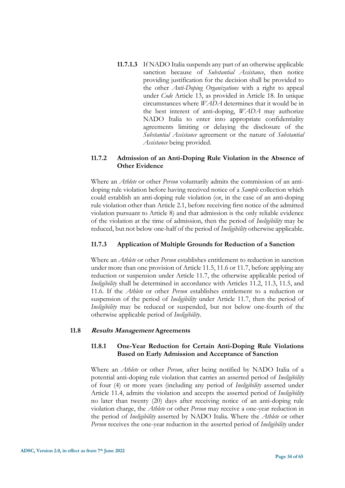**11.7.1.3** If NADO Italia suspends any part of an otherwise applicable sanction because of *Substantial Assistance*, then notice providing justification for the decision shall be provided to the other *Anti-Doping Organizations* with a right to appeal under *Code* Article 13, as provided in Article 18. In unique circumstances where *WADA* determines that it would be in the best interest of anti-doping, *WADA* may authorize NADO Italia to enter into appropriate confidentiality agreements limiting or delaying the disclosure of the *Substantial Assistance* agreement or the nature of *Substantial Assistance* being provided.

# **11.7.2 Admission of an Anti-Doping Rule Violation in the Absence of Other Evidence**

Where an *Athlete* or other *Person* voluntarily admits the commission of an antidoping rule violation before having received notice of a *Sample* collection which could establish an anti-doping rule violation (or, in the case of an anti-doping rule violation other than Article 2.1, before receiving first notice of the admitted violation pursuant to Article 8) and that admission is the only reliable evidence of the violation at the time of admission, then the period of *Ineligibility* may be reduced, but not below one-half of the period of *Ineligibility* otherwise applicable.

# **11.7.3 Application of Multiple Grounds for Reduction of a Sanction**

Where an *Athlete* or other *Person* establishes entitlement to reduction in sanction under more than one provision of Article 11.5, 11.6 or 11.7, before applying any reduction or suspension under Article 11.7, the otherwise applicable period of *Ineligibility* shall be determined in accordance with Articles 11.2, 11.3, 11.5, and 11.6. If the *Athlete* or other *Person* establishes entitlement to a reduction or suspension of the period of *Ineligibility* under Article 11.7, then the period of *Ineligibility* may be reduced or suspended, but not below one-fourth of the otherwise applicable period of *Ineligibility*.

# **11.8 Results Management Agreements**

# **11.8.1 One-Year Reduction for Certain Anti-Doping Rule Violations Based on Early Admission and Acceptance of Sanction**

Where an *Athlete* or other *Person*, after being notified by NADO Italia of a potential anti-doping rule violation that carries an asserted period of *Ineligibility* of four (4) or more years (including any period of *Ineligibility* asserted under Article 11.4, admits the violation and accepts the asserted period of *Ineligibility* no later than twenty (20) days after receiving notice of an anti-doping rule violation charge, the *Athlete* or other *Person* may receive a one-year reduction in the period of *Ineligibility* asserted by NADO Italia. Where the *Athlete* or other *Person* receives the one-year reduction in the asserted period of *Ineligibility* under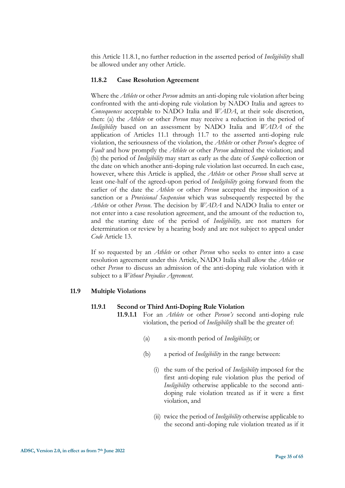this Article 11.8.1, no further reduction in the asserted period of *Ineligibility* shall be allowed under any other Article.

#### **11.8.2 Case Resolution Agreement**

Where the *Athlete* or other *Person* admits an anti-doping rule violation after being confronted with the anti-doping rule violation by NADO Italia and agrees to *Consequences* acceptable to NADO Italia and *WADA*, at their sole discretion, then: (a) the *Athlete* or other *Person* may receive a reduction in the period of *Ineligibility* based on an assessment by NADO Italia and *WADA* of the application of Articles 11.1 through 11.7 to the asserted anti-doping rule violation, the seriousness of the violation, the *Athlete* or other *Person*'s degree of *Fault* and how promptly the *Athlete* or other *Person* admitted the violation; and (b) the period of *Ineligibility* may start as early as the date of *Sample* collection or the date on which another anti-doping rule violation last occurred. In each case, however, where this Article is applied, the *Athlete* or other *Person* shall serve at least one-half of the agreed-upon period of *Ineligibility* going forward from the earlier of the date the *Athlete* or other *Person* accepted the imposition of a sanction or a *Provisional Suspension* which was subsequently respected by the *Athlete* or other *Person*. The decision by *WADA* and NADO Italia to enter or not enter into a case resolution agreement, and the amount of the reduction to, and the starting date of the period of *Ineligibility,* are not matters for determination or review by a hearing body and are not subject to appeal under *Code* Article 13.

If so requested by an *Athlete* or other *Person* who seeks to enter into a case resolution agreement under this Article, NADO Italia shall allow the *Athlete* or other *Person* to discuss an admission of the anti-doping rule violation with it subject to a *Without Prejudice Agreement*.

#### **11.9 Multiple Violations**

#### **11.9.1 Second or Third Anti-Doping Rule Violation**

- **11.9.1.1** For an *Athlete* or other *Person's* second anti-doping rule violation, the period of *Ineligibility* shall be the greater of:
	- (a) a six-month period of *Ineligibility*; or
	- (b) a period of *Ineligibility* in the range between:
		- (i) the sum of the period of *Ineligibility* imposed for the first anti-doping rule violation plus the period of *Ineligibility* otherwise applicable to the second antidoping rule violation treated as if it were a first violation, and
		- (ii) twice the period of *Ineligibility* otherwise applicable to the second anti-doping rule violation treated as if it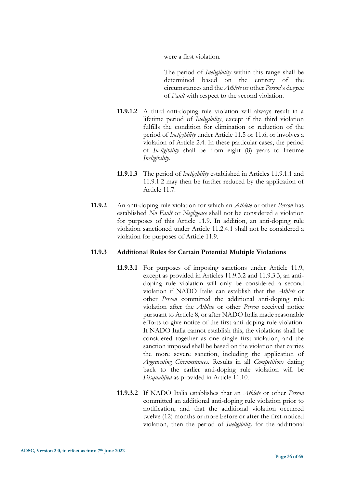were a first violation.

The period of *Ineligibility* within this range shall be determined based on the entirety of the circumstances and the *Athlete* or other *Person*'s degree of *Fault* with respect to the second violation.

- **11.9.1.2** A third anti-doping rule violation will always result in a lifetime period of *Ineligibility*, except if the third violation fulfills the condition for elimination or reduction of the period of *Ineligibility* under Article 11.5 or 11.6, or involves a violation of Article 2.4. In these particular cases, the period of *Ineligibility* shall be from eight (8) years to lifetime *Ineligibility*.
- **11.9.1.3** The period of *Ineligibility* established in Articles 11.9.1.1 and 11.9.1.2 may then be further reduced by the application of Article 11.7.
- **11.9.2** An anti-doping rule violation for which an *Athlete* or other *Person* has established *No Fault* or *Negligence* shall not be considered a violation for purposes of this Article 11.9. In addition, an anti-doping rule violation sanctioned under Article 11.2.4.1 shall not be considered a violation for purposes of Article 11.9.

#### **11.9.3 Additional Rules for Certain Potential Multiple Violations**

- **11.9.3.1** For purposes of imposing sanctions under Article 11.9, except as provided in Articles 11.9.3.2 and 11.9.3.3, an antidoping rule violation will only be considered a second violation if NADO Italia can establish that the *Athlete* or other *Person* committed the additional anti-doping rule violation after the *Athlete* or other *Person* received notice pursuant to Article 8, or after NADO Italia made reasonable efforts to give notice of the first anti-doping rule violation. If NADO Italia cannot establish this, the violations shall be considered together as one single first violation, and the sanction imposed shall be based on the violation that carries the more severe sanction, including the application of *Aggravating Circumstances*. Results in all *Competitions* dating back to the earlier anti-doping rule violation will be *Disqualified* as provided in Article 11.10.
- **11.9.3.2** If NADO Italia establishes that an *Athlete* or other *Person* committed an additional anti-doping rule violation prior to notification, and that the additional violation occurred twelve (12) months or more before or after the first-noticed violation, then the period of *Ineligibility* for the additional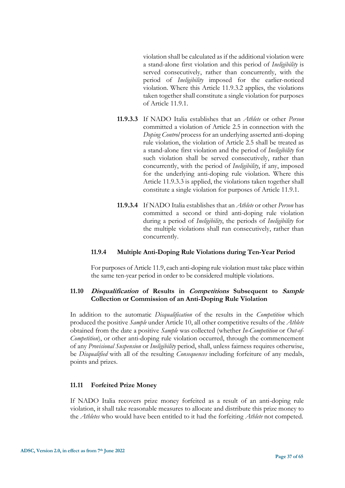violation shall be calculated as if the additional violation were a stand-alone first violation and this period of *Ineligibility* is served consecutively, rather than concurrently, with the period of *Ineligibility* imposed for the earlier-noticed violation. Where this Article 11.9.3.2 applies, the violations taken together shall constitute a single violation for purposes of Article 11.9.1.

- **11.9.3.3** If NADO Italia establishes that an *Athlete* or other *Person* committed a violation of Article 2.5 in connection with the *Doping Control* process for an underlying asserted anti-doping rule violation, the violation of Article 2.5 shall be treated as a stand-alone first violation and the period of *Ineligibility* for such violation shall be served consecutively, rather than concurrently, with the period of *Ineligibility*, if any, imposed for the underlying anti-doping rule violation. Where this Article 11.9.3.3 is applied, the violations taken together shall constitute a single violation for purposes of Article 11.9.1.
- **11.9.3.4** If NADO Italia establishes that an *Athlete* or other *Person* has committed a second or third anti-doping rule violation during a period of *Ineligibility*, the periods of *Ineligibility* for the multiple violations shall run consecutively, rather than concurrently.

#### **11.9.4 Multiple Anti-Doping Rule Violations during Ten-Year Period**

For purposes of Article 11.9, each anti-doping rule violation must take place within the same ten-year period in order to be considered multiple violations.

# **11.10 Disqualification of Results in Competitions Subsequent to Sample Collection or Commission of an Anti-Doping Rule Violation**

In addition to the automatic *Disqualification* of the results in the *Competition* which produced the positive *Sample* under Article 10, all other competitive results of the *Athlete* obtained from the date a positive *Sample* was collected (whether *In-Competition* or *Out-of-Competition*), or other anti-doping rule violation occurred, through the commencement of any *Provisional Suspension* or *Ineligibility* period, shall, unless fairness requires otherwise, be *Disqualified* with all of the resulting *Consequences* including forfeiture of any medals, points and prizes.

# **11.11 Forfeited Prize Money**

If NADO Italia recovers prize money forfeited as a result of an anti-doping rule violation, it shall take reasonable measures to allocate and distribute this prize money to the *Athletes* who would have been entitled to it had the forfeiting *Athlete* not competed.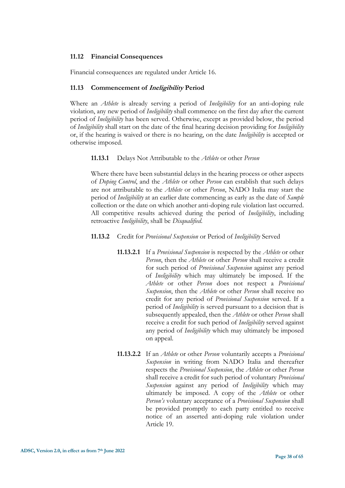#### **11.12 Financial Consequences**

Financial consequences are regulated under Article 16.

#### **11.13 Commencement of Ineligibility Period**

Where an *Athlete* is already serving a period of *Ineligibility* for an anti-doping rule violation, any new period of *Ineligibility* shall commence on the first day after the current period of *Ineligibility* has been served. Otherwise, except as provided below, the period of *Ineligibility* shall start on the date of the final hearing decision providing for *Ineligibility* or, if the hearing is waived or there is no hearing, on the date *Ineligibility* is accepted or otherwise imposed.

**11.13.1** Delays Not Attributable to the *Athlete* or other *Person*

Where there have been substantial delays in the hearing process or other aspects of *Doping Control*, and the *Athlete* or other *Person* can establish that such delays are not attributable to the *Athlete* or other *Person*, NADO Italia may start the period of *Ineligibility* at an earlier date commencing as early as the date of *Sample*  collection or the date on which another anti-doping rule violation last occurred. All competitive results achieved during the period of *Ineligibility*, including retroactive *Ineligibility*, shall be *Disqualified*.

- **11.13.2** Credit for *Provisional Suspension* or Period of *Ineligibility* Served
	- **11.13.2.1** If a *Provisional Suspension* is respected by the *Athlete* or other *Person*, then the *Athlete* or other *Person* shall receive a credit for such period of *Provisional Suspension* against any period of *Ineligibility* which may ultimately be imposed. If the *Athlete* or other *Person* does not respect a *Provisional Suspension*, then the *Athlete* or other *Person* shall receive no credit for any period of *Provisional Suspension* served. If a period of *Ineligibility* is served pursuant to a decision that is subsequently appealed, then the *Athlete* or other *Person* shall receive a credit for such period of *Ineligibility* served against any period of *Ineligibility* which may ultimately be imposed on appeal.
	- **11.13.2.2** If an *Athlete* or other *Person* voluntarily accepts a *Provisional Suspension* in writing from NADO Italia and thereafter respects the *Provisional Suspension*, the *Athlete* or other *Person* shall receive a credit for such period of voluntary *Provisional Suspension* against any period of *Ineligibility* which may ultimately be imposed. A copy of the *Athlete* or other *Person's* voluntary acceptance of a *Provisional Suspension* shall be provided promptly to each party entitled to receive notice of an asserted anti-doping rule violation under Article 19.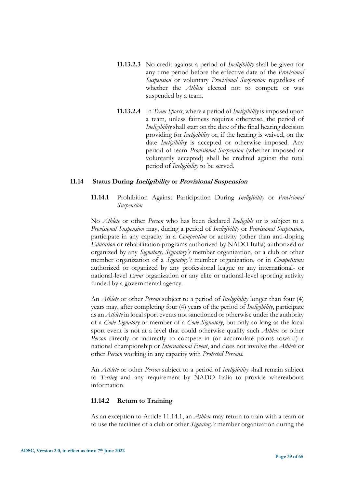- **11.13.2.3** No credit against a period of *Ineligibility* shall be given for any time period before the effective date of the *Provisional Suspension* or voluntary *Provisional Suspension* regardless of whether the *Athlete* elected not to compete or was suspended by a team.
- **11.13.2.4** In *Team Sports*, where a period of *Ineligibility* is imposed upon a team, unless fairness requires otherwise, the period of *Ineligibility* shall start on the date of the final hearing decision providing for *Ineligibility* or, if the hearing is waived, on the date *Ineligibility* is accepted or otherwise imposed. Any period of team *Provisional Suspension* (whether imposed or voluntarily accepted) shall be credited against the total period of *Ineligibility* to be served.

#### **11.14 Status During Ineligibility or Provisional Suspension**

**11.14.1** Prohibition Against Participation During *Ineligibility* or *Provisional Suspension*

No *Athlete* or other *Person* who has been declared *Ineligible* or is subject to a *Provisional Suspension* may, during a period of *Ineligibility* or *Provisional Suspension*, participate in any capacity in a *Competition* or activity (other than anti-doping *Education* or rehabilitation programs authorized by NADO Italia) authorized or organized by any *Signatory, Signatory's* member organization, or a club or other member organization of a *Signatory's* member organization, or in *Competitions* authorized or organized by any professional league or any international- or national-level *Event* organization or any elite or national-level sporting activity funded by a governmental agency.

An *Athlete* or other *Person* subject to a period of *Ineligibility* longer than four (4) years may, after completing four (4) years of the period of *Ineligibility*, participate as an *Athlete* in local sport events not sanctioned or otherwise under the authority of a *Code Signatory* or member of a *Code Signatory*, but only so long as the local sport event is not at a level that could otherwise qualify such *Athlete* or other *Person* directly or indirectly to compete in (or accumulate points toward) a national championship or *International Event*, and does not involve the *Athlete* or other *Person* working in any capacity with *Protected Persons*.

An *Athlete* or other *Person* subject to a period of *Ineligibility* shall remain subject to *Testing* and any requirement by NADO Italia to provide whereabouts information.

#### **11.14.2 Return to Training**

As an exception to Article 11.14.1, an *Athlete* may return to train with a team or to use the facilities of a club or other *Signatory's* member organization during the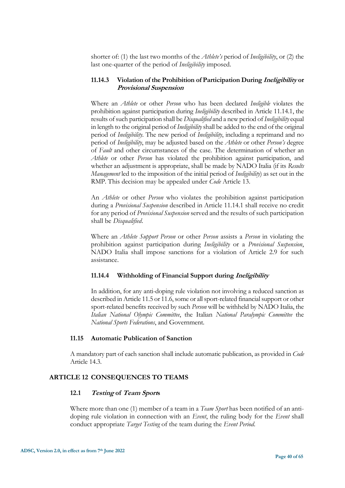shorter of: (1) the last two months of the *Athlete's* period of *Ineligibility*, or (2) the last one-quarter of the period of *Ineligibility* imposed.

#### **11.14.3 Violation of the Prohibition of Participation During Ineligibility or Provisional Suspension**

Where an *Athlete* or other *Person* who has been declared *Ineligible* violates the prohibition against participation during *Ineligibility* described in Article 11.14.1, the results of such participation shall be *Disqualified* and a new period of *Ineligibility* equal in length to the original period of *Ineligibility*shall be added to the end of the original period of *Ineligibility*. The new period of *Ineligibility*, including a reprimand and no period of *Ineligibility*, may be adjusted based on the *Athlete* or other *Person's* degree of *Fault* and other circumstances of the case. The determination of whether an *Athlete* or other *Person* has violated the prohibition against participation, and whether an adjustment is appropriate, shall be made by NADO Italia (if its *Results Management* led to the imposition of the initial period of *Ineligibility*) as set out in the RMP. This decision may be appealed under *Code* Article 13.

An *Athlete* or other *Person* who violates the prohibition against participation during a *Provisional Suspension* described in Article 11.14.1 shall receive no credit for any period of *Provisional Suspension* served and the results of such participation shall be *Disqualified*.

Where an *Athlete Support Person* or other *Person* assists a *Person* in violating the prohibition against participation during *Ineligibility* or a *Provisional Suspension*, NADO Italia shall impose sanctions for a violation of Article 2.9 for such assistance.

#### **11.14.4 Withholding of Financial Support during Ineligibility**

In addition, for any anti-doping rule violation not involving a reduced sanction as described in Article 11.5 or 11.6, some or all sport-related financial support or other sport-related benefits received by such *Person* will be withheld by NADO Italia, the *Italian National Olympic Committee*, the Italian *National Paralympic Committee* the *National Sports Federations*, and Government.

#### **11.15 Automatic Publication of Sanction**

<span id="page-39-0"></span>A mandatory part of each sanction shall include automatic publication, as provided in *Code* Article 14.3.

#### **ARTICLE 12 CONSEQUENCES TO TEAMS**

#### **12.1 Testing of Team Sports**

Where more than one (1) member of a team in a *Team Sport* has been notified of an antidoping rule violation in connection with an *Event*, the ruling body for the *Event* shall conduct appropriate *Target Testing* of the team during the *Event Period*.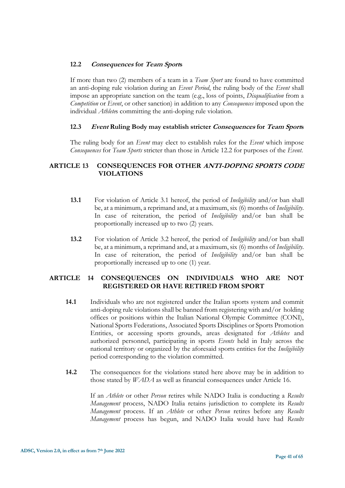# **12.2 Consequences for Team Sports**

If more than two (2) members of a team in a *Team Sport* are found to have committed an anti-doping rule violation during an *Event Period*, the ruling body of the *Event* shall impose an appropriate sanction on the team (e.g., loss of points, *Disqualification* from a *Competition* or *Event*, or other sanction) in addition to any *Consequences* imposed upon the individual *Athlete*s committing the anti-doping rule violation.

#### **12.3 Event Ruling Body may establish stricter Consequences for Team Sports**

<span id="page-40-0"></span>The ruling body for an *Event* may elect to establish rules for the *Event* which impose *Consequences* for *Team Sports* stricter than those in Article 12.2 for purposes of the *Event*.

# **ARTICLE 13 CONSEQUENCES FOR OTHER ANTI-DOPING SPORTS CODE VIOLATIONS**

- **13.1** For violation of Article 3.1 hereof, the period of *Ineligibility* and/or ban shall be, at a minimum, a reprimand and, at a maximum, six (6) months of *Ineligibility*. In case of reiteration, the period of *Ineligibility* and/or ban shall be proportionally increased up to two (2) years.
- <span id="page-40-1"></span>**13.2** For violation of Article 3.2 hereof, the period of *Ineligibility* and/or ban shall be, at a minimum, a reprimand and, at a maximum, six (6) months of *Ineligibility*. In case of reiteration, the period of *Ineligibility* and/or ban shall be proportionally increased up to one (1) year.

# **ARTICLE 14 CONSEQUENCES ON INDIVIDUALS WHO ARE NOT REGISTERED OR HAVE RETIRED FROM SPORT**

- **14.1** Individuals who are not registered under the Italian sports system and commit anti-doping rule violations shall be banned from registering with and/or holding offices or positions within the Italian National Olympic Committee (CONI), National Sports Federations, Associated Sports Disciplines or Sports Promotion Entities, or accessing sports grounds, areas designated for *Athletes* and authorized personnel, participating in sports *Events* held in Italy across the national territory or organized by the aforesaid sports entities for the *Ineligibility* period corresponding to the violation committed.
- **14.2** The consequences for the violations stated here above may be in addition to those stated by *WADA* as well as financial consequences under Article 16.

If an *Athlete* or other *Person* retires while NADO Italia is conducting a *Results Management* process, NADO Italia retains jurisdiction to complete its *Results Management* process. If an *Athlete* or other *Person* retires before any *Results Management* process has begun, and NADO Italia would have had *Results*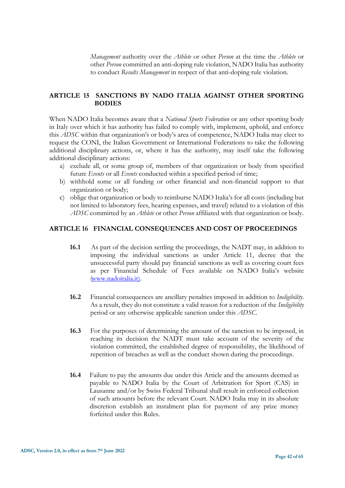*Management* authority over the *Athlete* or other *Person* at the time the *Athlete* or other *Person* committed an anti-doping rule violation, NADO Italia has authority to conduct *Results Management* in respect of that anti-doping rule violation.

# <span id="page-41-0"></span>**ARTICLE 15 SANCTIONS BY NADO ITALIA AGAINST OTHER SPORTING BODIES**

When NADO Italia becomes aware that a *National Sports Federation* or any other sporting body in Italy over which it has authority has failed to comply with, implement, uphold, and enforce this *ADSC* within that organization's or body's area of competence, NADO Italia may elect to request the CONI, the Italian Government or International Federations to take the following additional disciplinary actions, or, where it has the authority, may itself take the following additional disciplinary actions:

- a) exclude all, or some group of, members of that organization or body from specified future *Events* or all *Events* conducted within a specified period of time;
- b) withhold some or all funding or other financial and non-financial support to that organization or body;
- <span id="page-41-1"></span>c) oblige that organization or body to reimburse NADO Italia's for all costs (including but not limited to laboratory fees, hearing expenses, and travel) related to a violation of this *ADSC* committed by an *Athlete* or other *Person* affiliated with that organization or body.

#### **ARTICLE 16 FINANCIAL CONSEQUENCES AND COST OF PROCEEDINGS**

- **16.1** As part of the decision settling the proceedings, the NADT may, in addition to imposing the individual sanctions as under Article 11, decree that the unsuccessful party should pay financial sanctions as well as covering court fees as per Financial Schedule of Fees available on NADO Italia's website [\(www.nadoitalia.it\).](http://www.nadoitalia.it)./)
- **16.2** Financial consequences are ancillary penalties imposed in addition to *Ineligibility*. As a result, they do not constitute a valid reason for a reduction of the *Ineligibility* period or any otherwise applicable sanction under this *ADSC*.
- **16.3** For the purposes of determining the amount of the sanction to be imposed, in reaching its decision the NADT must take account of the severity of the violation committed, the established degree of responsibility, the likelihood of repetition of breaches as well as the conduct shown during the proceedings.
- **16.4** Failure to pay the amounts due under this Article and the amounts deemed as payable to NADO Italia by the Court of Arbitration for Sport (CAS) in Lausanne and/or by Swiss Federal Tribunal shall result in enforced collection of such amounts before the relevant Court. NADO Italia may in its absolute discretion establish an instalment plan for payment of any prize money forfeited under this Rules.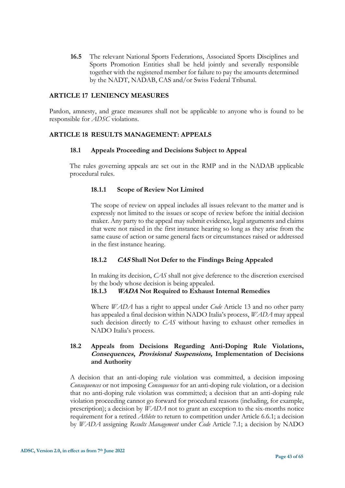<span id="page-42-0"></span>**16.5** The relevant National Sports Federations, Associated Sports Disciplines and Sports Promotion Entities shall be held jointly and severally responsible together with the registered member for failure to pay the amounts determined by the NADT, NADAB, CAS and/or Swiss Federal Tribunal.

#### **ARTICLE 17 LENIENCY MEASURES**

<span id="page-42-1"></span>Pardon, amnesty, and grace measures shall not be applicable to anyone who is found to be responsible for *ADSC* violations.

#### **ARTICLE 18 RESULTS MANAGEMENT: APPEALS**

#### **18.1 Appeals Proceeding and Decisions Subject to Appeal**

The rules governing appeals are set out in the RMP and in the NADAB applicable procedural rules.

# **18.1.1 Scope of Review Not Limited**

The scope of review on appeal includes all issues relevant to the matter and is expressly not limited to the issues or scope of review before the initial decision maker. Any party to the appeal may submit evidence, legal arguments and claims that were not raised in the first instance hearing so long as they arise from the same cause of action or same general facts or circumstances raised or addressed in the first instance hearing.

# **18.1.2 CAS Shall Not Defer to the Findings Being Appealed**

In making its decision, *CAS* shall not give deference to the discretion exercised by the body whose decision is being appealed.

# **18.1.3 WADA Not Required to Exhaust Internal Remedies**

Where *WADA* has a right to appeal under *Code* Article 13 and no other party has appealed a final decision within NADO Italia's process, *WADA* may appeal such decision directly to *CAS* without having to exhaust other remedies in NADO Italia's process.

# **18.2 Appeals from Decisions Regarding Anti-Doping Rule Violations, Consequences, Provisional Suspensions, Implementation of Decisions and Authority**

A decision that an anti-doping rule violation was committed, a decision imposing *Consequences* or not imposing *Consequences* for an anti-doping rule violation, or a decision that no anti-doping rule violation was committed; a decision that an anti-doping rule violation proceeding cannot go forward for procedural reasons (including, for example, prescription); a decision by *WADA* not to grant an exception to the six-months notice requirement for a retired *Athlete* to return to competition under Article 6.6.1; a decision by *WADA* assigning *Results Management* under *Code* Article 7.1; a decision by NADO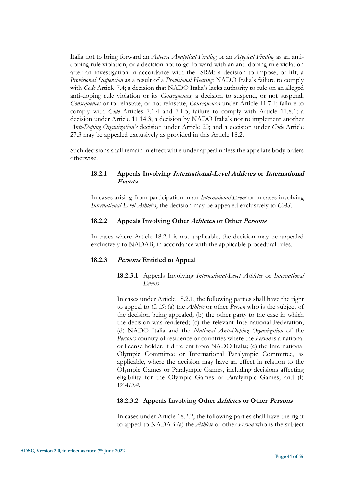Italia not to bring forward an *Adverse Analytical Finding* or an *Atypical Finding* as an antidoping rule violation, or a decision not to go forward with an anti-doping rule violation after an investigation in accordance with the ISRM; a decision to impose, or lift, a *Provisional Suspension* as a result of a *Provisional Hearing;* NADO Italia's failure to comply with *Code* Article 7.4; a decision that NADO Italia's lacks authority to rule on an alleged anti-doping rule violation or its *Consequences*; a decision to suspend, or not suspend, *Consequences* or to reinstate, or not reinstate, *Consequences* under Article 11.7.1; failure to comply with *Code* Articles 7.1.4 and 7.1.5; failure to comply with Article 11.8.1; a decision under Article 11.14.3; a decision by NADO Italia's not to implement another *Anti-Doping Organization's* decision under Article 20; and a decision under *Code* Article 27.3 may be appealed exclusively as provided in this Article 18.2.

Such decisions shall remain in effect while under appeal unless the appellate body orders otherwise.

# **18.2.1 Appeals Involving International-Level Athletes or International Events**

In cases arising from participation in an *International Event* or in cases involving *International-Level Athletes*, the decision may be appealed exclusively to *CAS*.

# **18.2.2 Appeals Involving Other Athletes or Other Persons**

In cases where Article 18.2.1 is not applicable, the decision may be appealed exclusively to NADAB, in accordance with the applicable procedural rules*.*

# **18.2.3 Persons Entitled to Appeal**

# **18.2.3.1** Appeals Involving *International-Level Athletes* or *International Events*

In cases under Article 18.2.1, the following parties shall have the right to appeal to *CAS*: (a) the *Athlete* or other *Person* who is the subject of the decision being appealed; (b) the other party to the case in which the decision was rendered; (c) the relevant International Federation; (d) NADO Italia and the *National Anti-Doping Organization* of the *Person's* country of residence or countries where the *Person* is a national or license holder, if different from NADO Italia; (e) the International Olympic Committee or International Paralympic Committee, as applicable, where the decision may have an effect in relation to the Olympic Games or Paralympic Games, including decisions affecting eligibility for the Olympic Games or Paralympic Games; and (f) *WADA*.

# **18.2.3.2 Appeals Involving Other Athletes or Other Persons**

In cases under Article 18.2.2, the following parties shall have the right to appeal to NADAB (a) the *Athlete* or other *Person* who is the subject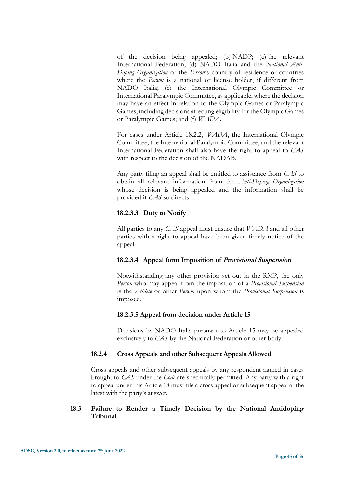of the decision being appealed; (b) NADP; (c) the relevant International Federation; (d) NADO Italia and the *National Anti-Doping Organization* of the *Person*'s country of residence or countries where the *Person* is a national or license holder, if different from NADO Italia; (e) the International Olympic Committee or International Paralympic Committee, as applicable, where the decision may have an effect in relation to the Olympic Games or Paralympic Games, including decisions affecting eligibility for the Olympic Games or Paralympic Games; and (f) *WADA*.

For cases under Article 18.2.2, *WADA*, the International Olympic Committee, the International Paralympic Committee, and the relevant International Federation shall also have the right to appeal to *CAS*  with respect to the decision of the NADAB.

Any party filing an appeal shall be entitled to assistance from *CAS* to obtain all relevant information from the *Anti-Doping Organization*  whose decision is being appealed and the information shall be provided if *CAS* so directs.

# **18.2.3.3 Duty to Notify**

All parties to any *CAS* appeal must ensure that *WADA* and all other parties with a right to appeal have been given timely notice of the appeal.

# **18.2.3.4 Appeal form Imposition of Provisional Suspension**

Notwithstanding any other provision set out in the RMP, the only *Person* who may appeal from the imposition of a *Provisional Suspension* is the *Athlete* or other *Person* upon whom the *Provisional Suspension* is imposed.

# **18.2.3.5 Appeal from decision under Article 15**

Decisions by NADO Italia pursuant to Article 15 may be appealed exclusively to *CAS* by the National Federation or other body.

# **18.2.4 Cross Appeals and other Subsequent Appeals Allowed**

Cross appeals and other subsequent appeals by any respondent named in cases brought to *CAS* under the *Code* are specifically permitted. Any party with a right to appeal under this Article 18 must file a cross appeal or subsequent appeal at the latest with the party's answer.

# **18.3 Failure to Render a Timely Decision by the National Antidoping Tribunal**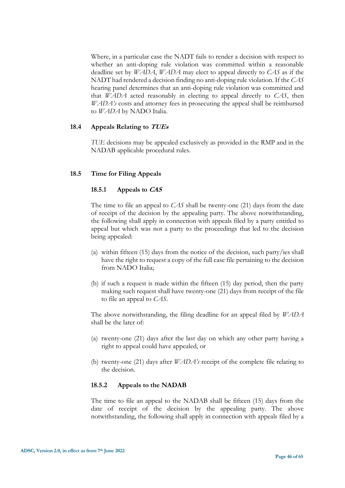Where, in a particular case the NADT fails to render a decision with respect to whether an anti-doping rule violation was committed within a reasonable deadline set by *WADA*, *WADA* may elect to appeal directly to *CAS* as if the NADT had rendered a decision finding no anti-doping rule violation. If the *CAS* hearing panel determines that an anti-doping rule violation was committed and that *WADA* acted reasonably in electing to appeal directly to *CAS*, then *WADA's* costs and attorney fees in prosecuting the appeal shall be reimbursed to *WADA* by NADO Italia.

#### **18.4 Appeals Relating to TUEs**

*TUE* decisions may be appealed exclusively as provided in the RMP and in the NADAB applicable procedural rules.

#### **18.5 Time for Filing Appeals**

#### **18.5.1 Appeals to CAS**

The time to file an appeal to *CAS* shall be twenty-one (21) days from the date of receipt of the decision by the appealing party. The above notwithstanding, the following shall apply in connection with appeals filed by a party entitled to appeal but which was not a party to the proceedings that led to the decision being appealed:

- (a) within fifteen (15) days from the notice of the decision, such party/ies shall have the right to request a copy of the full case file pertaining to the decision from NADO Italia;
- (b) if such a request is made within the fifteen (15) day period, then the party making such request shall have twenty-one (21) days from receipt of the file to file an appeal to *CAS*.

The above notwithstanding, the filing deadline for an appeal filed by *WADA* shall be the later of:

- (a) twenty-one (21) days after the last day on which any other party having a right to appeal could have appealed, or
- (b) twenty-one (21) days after *WADA's* receipt of the complete file relating to the decision.

#### **18.5.2 Appeals to the NADAB**

The time to file an appeal to the NADAB shall be fifteen (15) days from the date of receipt of the decision by the appealing party. The above notwithstanding, the following shall apply in connection with appeals filed by a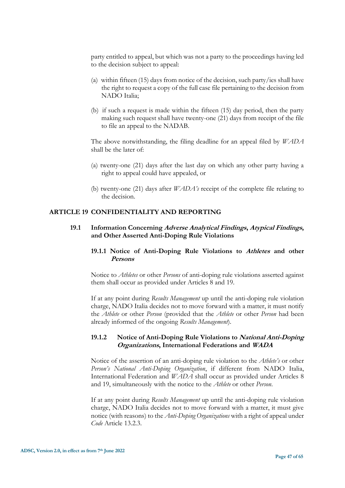party entitled to appeal, but which was not a party to the proceedings having led to the decision subject to appeal:

- (a) within fifteen (15) days from notice of the decision, such party/ies shall have the right to request a copy of the full case file pertaining to the decision from NADO Italia;
- (b) if such a request is made within the fifteen (15) day period, then the party making such request shall have twenty-one (21) days from receipt of the file to file an appeal to the NADAB.

The above notwithstanding, the filing deadline for an appeal filed by *WADA* shall be the later of:

- (a) twenty-one (21) days after the last day on which any other party having a right to appeal could have appealed, or
- (b) twenty-one (21) days after *WADA's* receipt of the complete file relating to the decision.

#### <span id="page-46-0"></span>**ARTICLE 19 CONFIDENTIALITY AND REPORTING**

#### **19.1 Information Concerning Adverse Analytical Findings, Atypical Findings, and Other Asserted Anti-Doping Rule Violations**

# **19.1.1 Notice of Anti-Doping Rule Violations to Athletes and other Persons**

Notice to *Athletes* or other *Persons* of anti-doping rule violations asserted against them shall occur as provided under Articles 8 and 19.

If at any point during *Results Management* up until the anti-doping rule violation charge, NADO Italia decides not to move forward with a matter, it must notify the *Athlete* or other *Person* (provided that the *Athlete* or other *Person* had been already informed of the ongoing *Results Management*).

#### **19.1.2 Notice of Anti-Doping Rule Violations to National Anti-Doping Organizations, International Federations and WADA**

Notice of the assertion of an anti-doping rule violation to the *Athlete's* or other *Person's National Anti-Doping Organization*, if different from NADO Italia, International Federation and *WADA* shall occur as provided under Articles 8 and 19, simultaneously with the notice to the *Athlete* or other *Person*.

If at any point during *Results Management* up until the anti-doping rule violation charge, NADO Italia decides not to move forward with a matter, it must give notice (with reasons) to the *Anti-Doping Organizations* with a right of appeal under *Code* Article 13.2.3.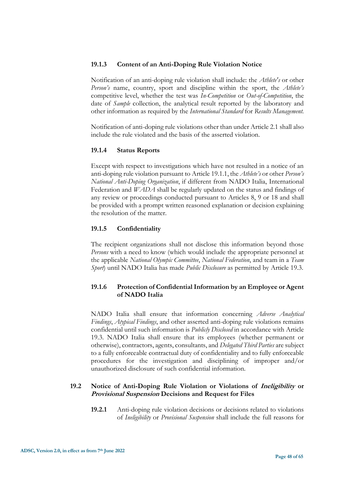# **19.1.3 Content of an Anti-Doping Rule Violation Notice**

Notification of an anti-doping rule violation shall include: the *Athlete's* or other *Person's* name, country, sport and discipline within the sport, the *Athlete's*  competitive level, whether the test was *In-Competition* or *Out-of-Competition*, the date of *Sample* collection, the analytical result reported by the laboratory and other information as required by the *International Standard* for *Results Management.*

Notification of anti-doping rule violations other than under Article 2.1 shall also include the rule violated and the basis of the asserted violation.

# **19.1.4 Status Reports**

Except with respect to investigations which have not resulted in a notice of an anti-doping rule violation pursuant to Article 19.1.1, the *Athlete's* or other *Person's National Anti-Doping Organization*, if different from NADO Italia, International Federation and *WADA* shall be regularly updated on the status and findings of any review or proceedings conducted pursuant to Articles 8, 9 or 18 and shall be provided with a prompt written reasoned explanation or decision explaining the resolution of the matter.

# **19.1.5 Confidentiality**

The recipient organizations shall not disclose this information beyond those *Persons* with a need to know (which would include the appropriate personnel at the applicable *National Olympic Committee*, *National Federation*, and team in a *Team Sport*) until NADO Italia has made *Public Disclosure* as permitted by Article 19.3.

# **19.1.6 Protection of Confidential Information by an Employee or Agent of NADO Italia**

NADO Italia shall ensure that information concerning *Adverse Analytical Findings*, *Atypical Findings*, and other asserted anti-doping rule violations remains confidential until such information is *Publicly Disclosed* in accordance with Article 19.3. NADO Italia shall ensure that its employees (whether permanent or otherwise), contractors, agents, consultants, and *Delegated Third Parties* are subject to a fully enforceable contractual duty of confidentiality and to fully enforceable procedures for the investigation and disciplining of improper and/or unauthorized disclosure of such confidential information.

# **19.2 Notice of Anti-Doping Rule Violation or Violations of Ineligibility or Provisional Suspension Decisions and Request for Files**

**19.2.1** Anti-doping rule violation decisions or decisions related to violations of *Ineligibility* or *Provisional Suspension* shall include the full reasons for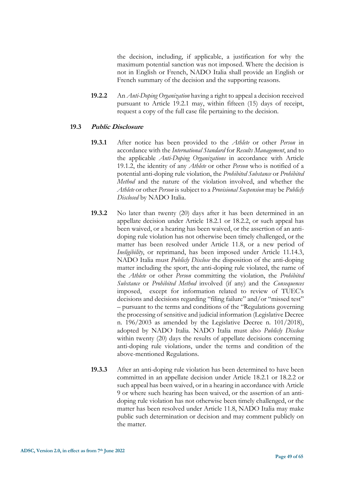the decision, including, if applicable, a justification for why the maximum potential sanction was not imposed. Where the decision is not in English or French, NADO Italia shall provide an English or French summary of the decision and the supporting reasons.

**19.2.2** An *Anti-Doping Organization* having a right to appeal a decision received pursuant to Article 19.2.1 may, within fifteen (15) days of receipt, request a copy of the full case file pertaining to the decision.

#### **19.3 Public Disclosure**

- **19.3.1** After notice has been provided to the *Athlete* or other *Person* in accordance with the *International Standard* for *Results Management*, and to the applicable *Anti-Doping Organizations* in accordance with Article 19.1.2, the identity of any *Athlete* or other *Person* who is notified of a potential anti-doping rule violation, the *Prohibited Substance* or *Prohibited Method* and the nature of the violation involved, and whether the *Athlete* or other *Person* is subject to a *Provisional Suspension* may be *Publicly Disclosed* by NADO Italia.
- **19.3.2** No later than twenty (20) days after it has been determined in an appellate decision under Article 18.2.1 or 18.2.2, or such appeal has been waived, or a hearing has been waived, or the assertion of an antidoping rule violation has not otherwise been timely challenged, or the matter has been resolved under Article 11.8, or a new period of *Ineligibility*, or reprimand, has been imposed under Article 11.14.3, NADO Italia must *Publicly Disclose* the disposition of the anti-doping matter including the sport, the anti-doping rule violated, the name of the *Athlete* or other *Person* committing the violation, the *Prohibited Substance* or *Prohibited Method* involved (if any) and the *Consequences* imposed, except for information related to review of TUEC's decisions and decisions regarding "filing failure" and/or "missed test" – pursuant to the terms and conditions of the "Regulations governing the processing of sensitive and judicial information (Legislative Decree n. 196/2003 as amended by the Legislative Decree n. 101/2018), adopted by NADO Italia. NADO Italia must also *Publicly Disclose*  within twenty (20) days the results of appellate decisions concerning anti-doping rule violations, under the terms and condition of the above-mentioned Regulations.
- **19.3.3** After an anti-doping rule violation has been determined to have been committed in an appellate decision under Article 18.2.1 or 18.2.2 or such appeal has been waived, or in a hearing in accordance with Article 9 or where such hearing has been waived, or the assertion of an antidoping rule violation has not otherwise been timely challenged, or the matter has been resolved under Article 11.8, NADO Italia may make public such determination or decision and may comment publicly on the matter.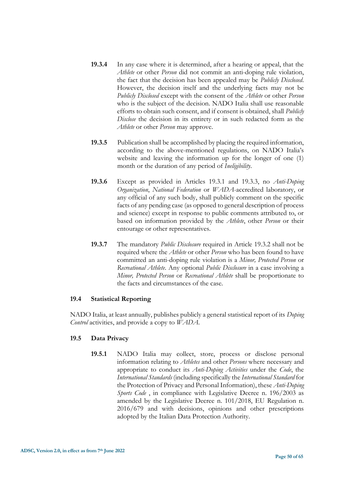- **19.3.4** In any case where it is determined, after a hearing or appeal, that the *Athlete* or other *Person* did not commit an anti-doping rule violation, the fact that the decision has been appealed may be *Publicly Disclosed*. However, the decision itself and the underlying facts may not be *Publicly Disclosed* except with the consent of the *Athlete* or other *Person* who is the subject of the decision. NADO Italia shall use reasonable efforts to obtain such consent, and if consent is obtained, shall *Publicly Disclose* the decision in its entirety or in such redacted form as the *Athlete* or other *Person* may approve.
- **19.3.5** Publication shall be accomplished by placing the required information, according to the above-mentioned regulations, on NADO Italia's website and leaving the information up for the longer of one (1) month or the duration of any period of *Ineligibility*.
- **19.3.6** Except as provided in Articles 19.3.1 and 19.3.3, no *Anti-Doping Organization*, *National Federation* or *WADA*-accredited laboratory, or any official of any such body, shall publicly comment on the specific facts of any pending case (as opposed to general description of process and science) except in response to public comments attributed to, or based on information provided by the *Athlete*, other *Person* or their entourage or other representatives.
- **19.3.7** The mandatory *Public Disclosure* required in Article 19.3.2 shall not be required where the *Athlete* or other *Person* who has been found to have committed an anti-doping rule violation is a *Minor, Protected Person* or *Recreational Athlete*. Any optional *Public Disclosure* in a case involving a *Minor, Protected Person* or *Recreational Athlete* shall be proportionate to the facts and circumstances of the case.

# **19.4 Statistical Reporting**

NADO Italia, at least annually, publishes publicly a general statistical report of its *Doping Control* activities, and provide a copy to *WADA*.

# **19.5 Data Privacy**

**19.5.1** NADO Italia may collect, store, process or disclose personal information relating to *Athletes* and other *Persons* where necessary and appropriate to conduct its *Anti-Doping Activities* under the *Code*, the *International Standards* (including specifically the *International Standard* for the Protection of Privacy and Personal Information), these *Anti-Doping Sports Code* , in compliance with Legislative Decree n. 196/2003 as amended by the Legislative Decree n. 101/2018, EU Regulation n. 2016/679 and with decisions, opinions and other prescriptions adopted by the Italian Data Protection Authority.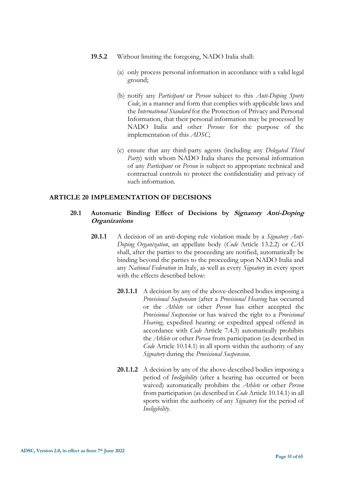- **19.5.2** Without limiting the foregoing, NADO Italia shall:
	- (a) only process personal information in accordance with a valid legal ground;
	- (b) notify any *Participant* or *Person* subject to this *Anti-Doping Sports Code*, in a manner and form that complies with applicable laws and the *International Standard* for the Protection of Privacy and Personal Information, that their personal information may be processed by NADO Italia and other *Persons* for the purpose of the implementation of this *ADSC*;
	- (c) ensure that any third-party agents (including any *Delegated Third Party*) with whom NADO Italia shares the personal information of any *Participant* or *Person* is subject to appropriate technical and contractual controls to protect the confidentiality and privacy of such information.

#### <span id="page-50-0"></span>**ARTICLE 20 IMPLEMENTATION OF DECISIONS**

# **20.1 Automatic Binding Effect of Decisions by Signatory Anti-Doping Organizations**

- **20.1.1** A decision of an anti-doping rule violation made by a *Signatory Anti-Doping Organization*, an appellate body (*Code* Article 13.2.2) or *CAS* shall, after the parties to the proceeding are notified, automatically be binding beyond the parties to the proceeding upon NADO Italia and any *National Federation* in Italy, as well as every *Signatory* in every sport with the effects described below:
	- **20.1.1.1** A decision by any of the above-described bodies imposing a *Provisional Suspension* (after a *Provisional Hearing* has occurred or the *Athlete* or other *Person* has either accepted the *Provisional Suspension* or has waived the right to a *Provisional Hearing*, expedited hearing or expedited appeal offered in accordance with *Code* Article 7.4.3) automatically prohibits the *Athlete* or other *Person* from participation (as described in *Code* Article 10.14.1) in all sports within the authority of any *Signatory* during the *Provisional Suspension*.
	- **20.1.1.2** A decision by any of the above-described bodies imposing a period of *Ineligibility* (after a hearing has occurred or been waived) automatically prohibits the *Athlete* or other *Person* from participation (as described in *Code* Article 10.14.1) in all sports within the authority of any *Signatory* for the period of *Ineligibility*.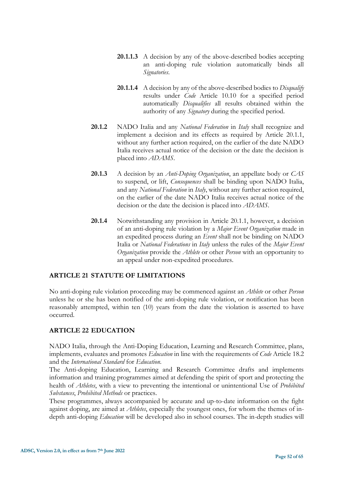- **20.1.1.3** A decision by any of the above-described bodies accepting an anti-doping rule violation automatically binds all *Signatories*.
- **20.1.1.4** A decision by any of the above-described bodies to *Disqualify* results under *Code* Article 10.10 for a specified period automatically *Disqualifies* all results obtained within the authority of any *Signatory* during the specified period.
- **20.1.2** NADO Italia and any *National Federation* in *Italy* shall recognize and implement a decision and its effects as required by Article 20.1.1, without any further action required, on the earlier of the date NADO Italia receives actual notice of the decision or the date the decision is placed into *ADAMS*.
- **20.1.3** A decision by an *Anti-Doping Organization*, an appellate body or *CAS* to suspend, or lift, *Consequences* shall be binding upon NADO Italia, and any *National Federation* in *Italy*, without any further action required, on the earlier of the date NADO Italia receives actual notice of the decision or the date the decision is placed into *ADAMS*.
- **20.1.4** Notwithstanding any provision in Article 20.1.1, however, a decision of an anti-doping rule violation by a *Major Event Organization* made in an expedited process during an *Event* shall not be binding on NADO Italia or *National Federations* in *Italy* unless the rules of the *Major Event Organization* provide the *Athlete* or other *Person* with an opportunity to an appeal under non-expedited procedures.

# <span id="page-51-0"></span>**ARTICLE 21 STATUTE OF LIMITATIONS**

<span id="page-51-1"></span>No anti-doping rule violation proceeding may be commenced against an *Athlete* or other *Person* unless he or she has been notified of the anti-doping rule violation, or notification has been reasonably attempted, within ten (10) years from the date the violation is asserted to have occurred.

# **ARTICLE 22 EDUCATION**

NADO Italia, through the Anti-Doping Education, Learning and Research Committee, plans, implements, evaluates and promotes *Education* in line with the requirements of *Code* Article 18.2 and the *International Standard* for *Education*.

The Anti-doping Education, Learning and Research Committee drafts and implements information and training programmes aimed at defending the spirit of sport and protecting the health of *Athletes*, with a view to preventing the intentional or unintentional Use of *Prohibited Substances*, *Prohibited Methods* or practices.

These programmes, always accompanied by accurate and up-to-date information on the fight against doping, are aimed at *Athletes*, especially the youngest ones, for whom the themes of indepth anti-doping *Education* will be developed also in school courses. The in-depth studies will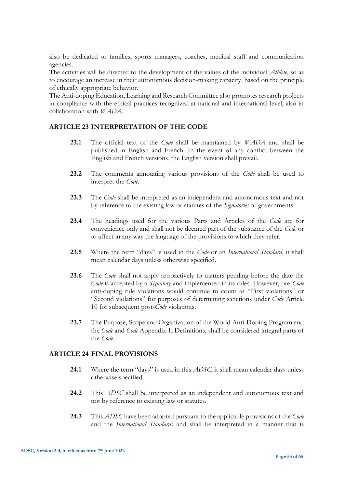also be dedicated to families, sports managers, coaches, medical staff and communication agencies.

The activities will be directed to the development of the values of the individual *Athlete*, so as to encourage an increase in their autonomous decision-making capacity, based on the principle of ethically appropriate behavior.

<span id="page-52-0"></span>The Anti-doping Education, Learning and Research Committee also promotes research projects in compliance with the ethical practices recognized at national and international level, also in collaboration with *WADA*.

#### **ARTICLE 23 INTERPRETATION OF THE CODE**

- **23.1** The official text of the *Code* shall be maintained by *WADA* and shall be published in English and French. In the event of any conflict between the English and French versions, the English version shall prevail.
- **23.2** The comments annotating various provisions of the *Code* shall be used to interpret the *Code*.
- **23.3** The *Code* shall be interpreted as an independent and autonomous text and not by reference to the existing law or statutes of the *Signatories* or governments.
- **23.4** The headings used for the various Parts and Articles of the *Code* are for convenience only and shall not be deemed part of the substance of the *Code* or to affect in any way the language of the provisions to which they refer.
- **23.5** Where the term "days" is used in the *Code* or an *International Standard*, it shall mean calendar days unless otherwise specified.
- **23.6** The *Code* shall not apply retroactively to matters pending before the date the *Code* is accepted by a *Signatory* and implemented in its rules. However, pre-*Code* anti-doping rule violations would continue to count as "First violations" or "Second violations" for purposes of determining sanctions under *Code* Article 10 for subsequent post-*Code* violations.
- <span id="page-52-1"></span>**23.7** The Purpose, Scope and Organization of the World Anti-Doping Program and the *Code* and *Code* Appendix 1, Definitions, shall be considered integral parts of the *Code*.

# **ARTICLE 24 FINAL PROVISIONS**

- **24.1** Where the term "days" is used in this *ADSC*, it shall mean calendar days unless otherwise specified.
- **24.2** This *ADSC* shall be interpreted as an independent and autonomous text and not by reference to existing law or statutes.
- **24.3** This *ADSC* have been adopted pursuant to the applicable provisions of the *Code*  and the *International Standards* and shall be interpreted in a manner that is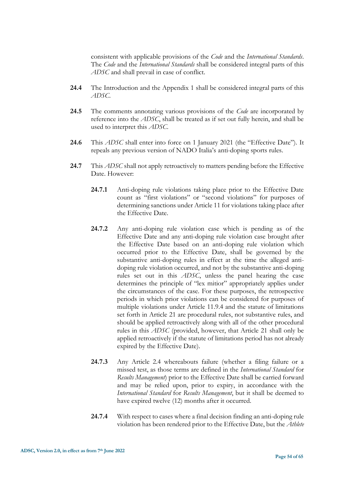consistent with applicable provisions of the *Code* and the *International Standards*. The *Code* and the *International Standards* shall be considered integral parts of this *ADSC* and shall prevail in case of conflict.

- **24.4** The Introduction and the Appendix 1 shall be considered integral parts of this *ADSC*.
- **24.5** The comments annotating various provisions of the *Code* are incorporated by reference into the *ADSC*, shall be treated as if set out fully herein, and shall be used to interpret this *ADSC*.
- **24.6** This *ADSC* shall enter into force on 1 January 2021 (the "Effective Date"). It repeals any previous version of NADO Italia's anti-doping sports rules.
- **24.7** This *ADSC* shall not apply retroactively to matters pending before the Effective Date. However:
	- **24.7.1** Anti-doping rule violations taking place prior to the Effective Date count as "first violations" or "second violations" for purposes of determining sanctions under Article 11 for violations taking place after the Effective Date.
	- **24.7.2** Any anti-doping rule violation case which is pending as of the Effective Date and any anti-doping rule violation case brought after the Effective Date based on an anti-doping rule violation which occurred prior to the Effective Date, shall be governed by the substantive anti-doping rules in effect at the time the alleged antidoping rule violation occurred, and not by the substantive anti-doping rules set out in this *ADSC*, unless the panel hearing the case determines the principle of "lex mitior" appropriately applies under the circumstances of the case. For these purposes, the retrospective periods in which prior violations can be considered for purposes of multiple violations under Article 11.9.4 and the statute of limitations set forth in Article 21 are procedural rules, not substantive rules, and should be applied retroactively along with all of the other procedural rules in this *ADSC* (provided, however, that Article 21 shall only be applied retroactively if the statute of limitations period has not already expired by the Effective Date).
	- **24.7.3** Any Article 2.4 whereabouts failure (whether a filing failure or a missed test, as those terms are defined in the *International Standard* for *Results Management*) prior to the Effective Date shall be carried forward and may be relied upon, prior to expiry, in accordance with the *International Standard* for *Results Management*, but it shall be deemed to have expired twelve (12) months after it occurred*.*
	- **24.7.4** With respect to cases where a final decision finding an anti-doping rule violation has been rendered prior to the Effective Date, but the *Athlete*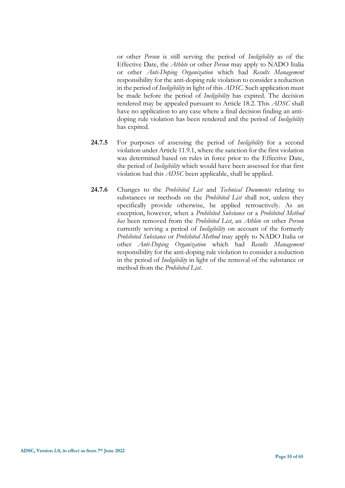or other *Person* is still serving the period of *Ineligibility* as of the Effective Date, the *Athlete* or other *Person* may apply to NADO Italia or other *Anti-Doping Organization* which had *Results Management* responsibility for the anti-doping rule violation to consider a reduction in the period of *Ineligibility* in light of this *ADSC*. Such application must be made before the period of *Ineligibility* has expired. The decision rendered may be appealed pursuant to Article 18.2. This *ADSC* shall have no application to any case where a final decision finding an antidoping rule violation has been rendered and the period of *Ineligibility*  has expired.

- **24.7.5** For purposes of assessing the period of *Ineligibility* for a second violation under Article 11.9.1, where the sanction for the first violation was determined based on rules in force prior to the Effective Date, the period of *Ineligibility* which would have been assessed for that first violation had this *ADSC* been applicable, shall be applied.
- **24.7.6** Changes to the *Prohibited List* and *Technical Documents* relating to substances or methods on the *Prohibited List* shall not, unless they specifically provide otherwise, be applied retroactively. As an exception, however, when a *Prohibited Substance* or a *Prohibited Method has* been removed from the *Prohibited List*, an *Athlete* or other *Person* currently serving a period of *Ineligibility* on account of the formerly *Prohibited Substance* or *Prohibited Method* may apply to NADO Italia or other *Anti-Doping Organization* which had *Results Management* responsibility for the anti-doping rule violation to consider a reduction in the period of *Ineligibility* in light of the removal of the substance or method from the *Prohibited List*.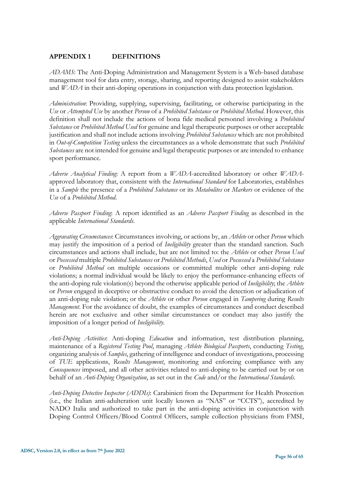# <span id="page-55-0"></span>**APPENDIX 1 DEFINITIONS**

*ADAMS*: The Anti-Doping Administration and Management System is a Web-based database management tool for data entry, storage, sharing, and reporting designed to assist stakeholders and *WADA* in their anti-doping operations in conjunction with data protection legislation.

*Administration*: Providing, supplying, supervising, facilitating, or otherwise participating in the *Use* or *Attempted Use* by another *Person* of a *Prohibited Substance* or *Prohibited Method*. However, this definition shall not include the actions of bona fide medical personnel involving a *Prohibited Substance* or *Prohibited Method Used* for genuine and legal therapeutic purposes or other acceptable justification and shall not include actions involving *Prohibited Substances* which are not prohibited in *Out-of-Competition Testing* unless the circumstances as a whole demonstrate that such *Prohibited Substances* are not intended for genuine and legal therapeutic purposes or are intended to enhance sport performance.

*Adverse Analytical Finding*: A report from a *WADA*-accredited laboratory or other *WADA*approved laboratory that, consistent with the *International Standard* for Laboratories, establishes in a *Sample* the presence of a *Prohibited Substance* or its *Metabolites* or *Markers* or evidence of the *Use* of a *Prohibited Method*.

*Adverse Passport Finding*: A report identified as an *Adverse Passport Finding* as described in the applicable *International Standards*.

*Aggravating Circumstances*: Circumstances involving, or actions by, an *Athlete* or other *Person* which may justify the imposition of a period of *Ineligibility* greater than the standard sanction. Such circumstances and actions shall include, but are not limited to: the *Athlete* or other *Person Used* or *Possessed* multiple *Prohibited Substances* or *Prohibited Methods*, *Used* or *Possessed* a *Prohibited Substance* or *Prohibited Method* on multiple occasions or committed multiple other anti-doping rule violations; a normal individual would be likely to enjoy the performance-enhancing effects of the anti-doping rule violation(s) beyond the otherwise applicable period of *Ineligibility*; the *Athlete* or *Person* engaged in deceptive or obstructive conduct to avoid the detection or adjudication of an anti-doping rule violation; or the *Athlete* or other *Person* engaged in *Tampering* during *Results Management*. For the avoidance of doubt, the examples of circumstances and conduct described herein are not exclusive and other similar circumstances or conduct may also justify the imposition of a longer period of *Ineligibility*.

*Anti-Doping Activities*: Anti-doping *Education* and information, test distribution planning, maintenance of a *Registered Testing Pool*, managing *Athlete Biological Passports*, conducting *Testing*, organizing analysis of *Samples*, gathering of intelligence and conduct of investigations, processing of *TUE* applications, *Results Management*, monitoring and enforcing compliance with any *Consequences* imposed, and all other activities related to anti-doping to be carried out by or on behalf of an *Anti-Doping Organization*, as set out in the *Code* and/or the *International Standards*.

*Anti-Doping Detective Inspector (ADDIs)*: Carabinieri from the Department for Health Protection (i.e., the Italian anti-adulteration unit locally known as "NAS" or "CCTS"), accredited by NADO Italia and authorized to take part in the anti-doping activities in conjunction with Doping Control Officers/Blood Control Officers, sample collection physicians from FMSI,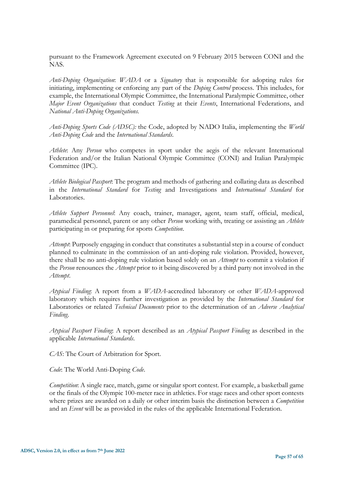pursuant to the Framework Agreement executed on 9 February 2015 between CONI and the NAS.

*Anti-Doping Organization*: *WADA* or a *Signatory* that is responsible for adopting rules for initiating, implementing or enforcing any part of the *Doping Control* process. This includes, for example, the International Olympic Committee, the International Paralympic Committee, other *Major Event Organizations* that conduct *Testing* at their *Events*, International Federations, and *National Anti-Doping Organizations.*

*Anti-Doping Sports Code (ADSC):* the Code, adopted by NADO Italia, implementing the *World Anti-Doping Code* and the *International Standards*.

*Athlete*: Any *Person* who competes in sport under the aegis of the relevant International Federation and/or the Italian National Olympic Committee (CONI) and Italian Paralympic Committee (IPC).

*Athlete Biological Passport*: The program and methods of gathering and collating data as described in the *International Standard* for *Testing* and Investigations and *International Standard* for Laboratories.

*Athlete Support Personnel*: Any coach, trainer, manager, agent, team staff, official, medical, paramedical personnel, parent or any other *Person* working with, treating or assisting an *Athlete* participating in or preparing for sports *Competition*.

*Attempt*: Purposely engaging in conduct that constitutes a substantial step in a course of conduct planned to culminate in the commission of an anti-doping rule violation. Provided, however, there shall be no anti-doping rule violation based solely on an *Attempt* to commit a violation if the *Person* renounces the *Attempt* prior to it being discovered by a third party not involved in the *Attempt*.

*Atypical Finding*: A report from a *WADA*-accredited laboratory or other *WADA*-approved laboratory which requires further investigation as provided by the *International Standard* for Laboratories or related *Technical Documents* prior to the determination of an *Adverse Analytical Finding*.

*Atypical Passport Finding*: A report described as an *Atypical Passport Finding* as described in the applicable *International Standards*.

*CAS*: The Court of Arbitration for Sport.

*Code*: The World Anti-Doping *Code*.

*Competition*: A single race, match, game or singular sport contest. For example, a basketball game or the finals of the Olympic 100-meter race in athletics. For stage races and other sport contests where prizes are awarded on a daily or other interim basis the distinction between a *Competition* and an *Event* will be as provided in the rules of the applicable International Federation.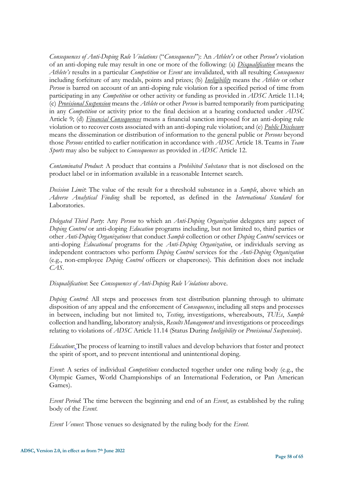*Consequences of Anti-Doping Rule Violations* ("*Consequences*"): An *Athlete's* or other *Person's* violation of an anti-doping rule may result in one or more of the following: (a) *Disqualification* means the *Athlete's* results in a particular *Competition* or *Event* are invalidated, with all resulting *Consequences* including forfeiture of any medals, points and prizes; (b) *Ineligibility* means the *Athlete* or other *Person* is barred on account of an anti-doping rule violation for a specified period of time from participating in any *Competition* or other activity or funding as provided in *ADSC* Article 11.14; (c) *Provisional Suspension* means the *Athlete* or other *Person* is barred temporarily from participating in any *Competition* or activity prior to the final decision at a hearing conducted under *ADSC* Article 9; (d) *Financial Consequences* means a financial sanction imposed for an anti-doping rule violation or to recover costs associated with an anti-doping rule violation; and (e) *Public Disclosure* means the dissemination or distribution of information to the general public or *Persons* beyond those *Persons* entitled to earlier notification in accordance with *ADSC* Article 18. Teams in *Team Sports* may also be subject to *Consequences* as provided in *ADSC* Article 12.

*Contaminated Product*: A product that contains a *Prohibited Substance* that is not disclosed on the product label or in information available in a reasonable Internet search.

*Decision Limit*: The value of the result for a threshold substance in a *Sample*, above which an *Adverse Analytical Finding* shall be reported, as defined in the *International Standard* for Laboratories.

*Delegated Third Party*: Any *Person* to which an *Anti-Doping Organization* delegates any aspect of *Doping Control* or anti-doping *Education* programs including, but not limited to, third parties or other *Anti-Doping Organizations* that conduct *Sample* collection or other *Doping Control* services or anti-doping *Educational* programs for the *Anti-Doping Organization*, or individuals serving as independent contractors who perform *Doping Control* services for the *Anti-Doping Organization* (e.g., non-employee *Doping Control* officers or chaperones). This definition does not include *CAS*.

*Disqualification*: See *Consequences of Anti-Doping Rule Violations* above.

*Doping Control*: All steps and processes from test distribution planning through to ultimate disposition of any appeal and the enforcement of *Consequences*, including all steps and processes in between, including but not limited to, *Testing*, investigations, whereabouts, *TUEs*, *Sample* collection and handling, laboratory analysis, *Results Management* and investigations or proceedings relating to violations of *ADSC* Article 11.14 (Status During *Ineligibility* or *Provisional Suspension*).

*Education*: The process of learning to instill values and develop behaviors that foster and protect the spirit of sport, and to prevent intentional and unintentional doping.

*Event*: A series of individual *Competitions* conducted together under one ruling body (e.g., the Olympic Games, World Championships of an International Federation, or Pan American Games).

*Event Period*: The time between the beginning and end of an *Event*, as established by the ruling body of the *Event*.

*Event Venues*: Those venues so designated by the ruling body for the *Event.*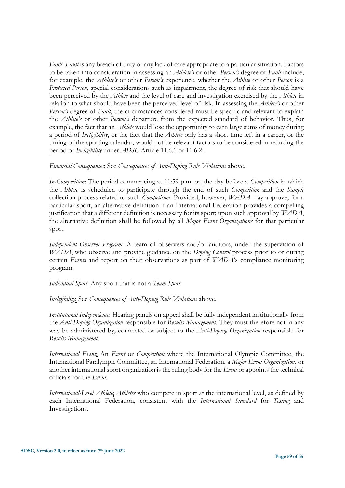*Fault*: *Fault* is any breach of duty or any lack of care appropriate to a particular situation. Factors to be taken into consideration in assessing an *Athlete's* or other *Person's* degree of *Fault* include, for example, the *Athlete's* or other *Person's* experience, whether the *Athlete* or other *Person* is a *Protected Person*, special considerations such as impairment, the degree of risk that should have been perceived by the *Athlete* and the level of care and investigation exercised by the *Athlete* in relation to what should have been the perceived level of risk. In assessing the *Athlete's* or other *Person's* degree of *Fault*, the circumstances considered must be specific and relevant to explain the *Athlete's* or other *Person's* departure from the expected standard of behavior. Thus, for example, the fact that an *Athlete* would lose the opportunity to earn large sums of money during a period of *Ineligibility*, or the fact that the *Athlete* only has a short time left in a career, or the timing of the sporting calendar, would not be relevant factors to be considered in reducing the period of *Ineligibility* under *ADSC* Article 11.6.1 or 11.6.2.

#### *Financial Consequences*: See *Consequences of Anti-Doping Rule Violations* above.

*In-Competition*: The period commencing at 11:59 p.m. on the day before a *Competition* in which the *Athlete* is scheduled to participate through the end of such *Competition* and the *Sample* collection process related to such *Competition*. Provided, however, *WADA* may approve, for a particular sport, an alternative definition if an International Federation provides a compelling justification that a different definition is necessary for its sport; upon such approval by *WADA*, the alternative definition shall be followed by all *Major Event Organizations* for that particular sport.

*Independent Observer Program*: A team of observers and/or auditors, under the supervision of *WADA*, who observe and provide guidance on the *Doping Control* process prior to or during certain *Events* and report on their observations as part of *WADA*'s compliance monitoring program.

*Individual Sport*: Any sport that is not a *Team Sport.*

# *Ineligibility*: See *Consequences of Anti-Doping Rule Violations* above.

*Institutional Independence*: Hearing panels on appeal shall be fully independent institutionally from the *Anti-Doping Organization* responsible for *Results Management*. They must therefore not in any way be administered by, connected or subject to the *Anti-Doping Organization* responsible for *Results Management*.

*International Event*: An *Event* or *Competition* where the International Olympic Committee, the International Paralympic Committee, an International Federation, a *Major Event Organization,* or another international sport organization is the ruling body for the *Event* or appoints the technical officials for the *Event.*

*International-Level Athlete*: *Athletes* who compete in sport at the international level, as defined by each International Federation, consistent with the *International Standard* for *Testing* and Investigations.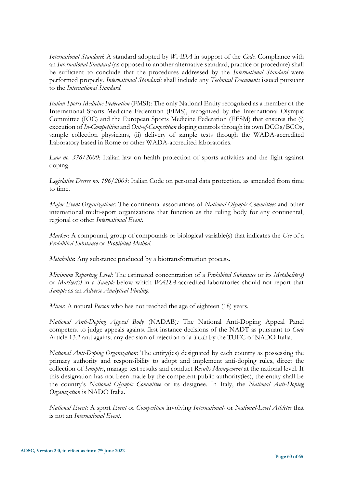*International Standard*: A standard adopted by *WADA* in support of the *Code*. Compliance with an *International Standard* (as opposed to another alternative standard, practice or procedure) shall be sufficient to conclude that the procedures addressed by the *International Standard* were performed properly. *International Standards* shall include any *Technical Documents* issued pursuant to the *International Standard*.

*Italian Sports Medicine Federation* (FMSI): The only National Entity recognized as a member of the International Sports Medicine Federation (FIMS), recognized by the International Olympic Committee (IOC) and the European Sports Medicine Federation (EFSM) that ensures the (i) execution of *In-Competition* and *Out-of-Competition* doping controls through its own DCOs/BCOs, sample collection physicians, (ii) delivery of sample tests through the WADA-accredited Laboratory based in Rome or other WADA-accredited laboratories.

*Law no. 376/2000*: Italian law on health protection of sports activities and the fight against doping.

*Legislative Decree no. 196/2003*: Italian Code on personal data protection, as amended from time to time.

*Major Event Organizations*: The continental associations of *National Olympic Committees* and other international multi-sport organizations that function as the ruling body for any continental, regional or other *International Event*.

*Marker*: A compound, group of compounds or biological variable(s) that indicates the *Use* of a *Prohibited Substance* or *Prohibited Method.*

*Metabolite*: Any substance produced by a biotransformation process.

*Minimum Reporting Level*: The estimated concentration of a *Prohibited Substance* or its *Metabolite(s)* or *Marker(s)* in a *Sample* below which *WADA*-accredited laboratories should not report that *Sample* as an *Adverse Analytical Finding.*

*Minor*: A natural *Person* who has not reached the age of eighteen (18) years.

*National Anti-Doping Appeal Body* (NADAB)*:* The National Anti-Doping Appeal Panel competent to judge appeals against first instance decisions of the NADT as pursuant to *Code* Article 13.2 and against any decision of rejection of a *TUE* by the TUEC of NADO Italia.

*National Anti-Doping Organization*: The entity(ies) designated by each country as possessing the primary authority and responsibility to adopt and implement anti-doping rules, direct the collection of *Samples*, manage test results and conduct *Results Management* at the national level. If this designation has not been made by the competent public authority(ies), the entity shall be the country's *National Olympic Committee* or its designee. In Italy, the *National Anti-Doping Organization* is NADO Italia.

*National Event*: A sport *Event* or *Competition* involving *International-* or *National-Level Athletes* that is not an *International Event*.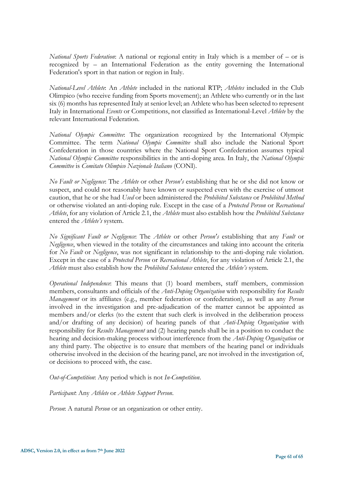*National Sports Federation*: A national or regional entity in Italy which is a member of – or is recognized by – an International Federation as the entity governing the International Federation's sport in that nation or region in Italy.

*National-Level Athlete*: An *Athlete* included in the national RTP; *Athletes* included in the Club Olimpico (who receive funding from Sports movement); an Athlete who currently or in the last six (6) months has represented Italy at senior level; an Athlete who has been selected to represent Italy in International *Events* or Competitions, not classified as International-Level *Athlete* by the relevant International Federation.

*National Olympic Committee*: The organization recognized by the International Olympic Committee. The term *National Olympic Committee* shall also include the National Sport Confederation in those countries where the National Sport Confederation assumes typical *National Olympic Committee* responsibilities in the anti-doping area. In Italy, the *National Olympic Committee* is *Comitato Olimpico Nazionale Italiano* (CONI).

*No Fault or Negligence*: The *Athlete* or other *Person's* establishing that he or she did not know or suspect, and could not reasonably have known or suspected even with the exercise of utmost caution, that he or she had *Used* or been administered the *Prohibited Substance* or *Prohibited Method* or otherwise violated an anti-doping rule*.* Except in the case of a *Protected Person* or *Recreational Athlete*, for any violation of Article 2.1, the *Athlete* must also establish how the *Prohibited Substance* entered the *Athlete's* system.

*No Significant Fault or Negligence*: The *Athlete* or other *Person's* establishing that any *Fault* or *Negligence*, when viewed in the totality of the circumstances and taking into account the criteria for *No Fault* or *Negligence*, was not significant in relationship to the anti-doping rule violation. Except in the case of a *Protected Person* or *Recreational Athlete*, for any violation of Article 2.1, the *Athlete* must also establish how the *Prohibited Substance* entered the *Athlete's* system.

*Operational Independence*: This means that (1) board members, staff members, commission members, consultants and officials of the *Anti-Doping Organization* with responsibility for *Results Management* or its affiliates (e.g., member federation or confederation), as well as any *Person* involved in the investigation and pre-adjudication of the matter cannot be appointed as members and/or clerks (to the extent that such clerk is involved in the deliberation process and/or drafting of any decision) of hearing panels of that *Anti-Doping Organization* with responsibility for *Results Management* and (2) hearing panels shall be in a position to conduct the hearing and decision-making process without interference from the *Anti-Doping Organization* or any third party. The objective is to ensure that members of the hearing panel or individuals otherwise involved in the decision of the hearing panel, are not involved in the investigation of, or decisions to proceed with, the case.

*Out-of-Competition*: Any period which is not *In-Competition*.

*Participant*: Any *Athlete* or *Athlete Support Person*.

*Person*: A natural *Person* or an organization or other entity.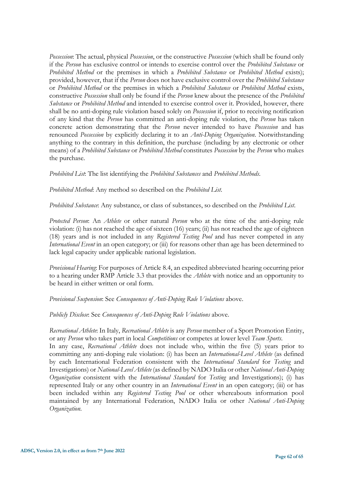*Possession*: The actual, physical *Possession*, or the constructive *Possession* (which shall be found only if the *Person* has exclusive control or intends to exercise control over the *Prohibited Substance* or *Prohibited Method* or the premises in which a *Prohibited Substance* or *Prohibited Method* exists); provided, however, that if the *Person* does not have exclusive control over the *Prohibited Substance*  or *Prohibited Method* or the premises in which a *Prohibited Substance* or *Prohibited Method* exists, constructive *Possession* shall only be found if the *Person* knew about the presence of the *Prohibited Substance* or *Prohibited Method* and intended to exercise control over it. Provided, however, there shall be no anti-doping rule violation based solely on *Possession* if, prior to receiving notification of any kind that the *Person* has committed an anti-doping rule violation, the *Person* has taken concrete action demonstrating that the *Person* never intended to have *Possession* and has renounced *Possession* by explicitly declaring it to an *Anti-Doping Organization*. Notwithstanding anything to the contrary in this definition, the purchase (including by any electronic or other means) of a *Prohibited Substance* or *Prohibited Method* constitutes *Possession* by the *Person* who makes the purchase.

*Prohibited List*: The list identifying the *Prohibited Substances* and *Prohibited Methods*.

*Prohibited Method*: Any method so described on the *Prohibited List*.

*Prohibited Substance*: Any substance, or class of substances, so described on the *Prohibited List*.

*Protected Person*: An *Athlete* or other natural *Person* who at the time of the anti-doping rule violation: (i) has not reached the age of sixteen (16) years; (ii) has not reached the age of eighteen (18) years and is not included in any *Registered Testing Pool* and has never competed in any *International Event* in an open category; or (iii) for reasons other than age has been determined to lack legal capacity under applicable national legislation.

*Provisional Hearing*: For purposes of Article 8.4, an expedited abbreviated hearing occurring prior to a hearing under RMP Article 3.3 that provides the *Athlete* with notice and an opportunity to be heard in either written or oral form.

*Provisional Suspension*: See *Consequences of Anti-Doping Rule Violations* above.

*Publicly Disclose*: See *Consequences of Anti-Doping Rule Violations* above.

*Recreational Athlete*: In Italy, *Recreational Athlete* is any *Person* member of a Sport Promotion Entity, or any *Person* who takes part in local *Competitions* or competes at lower level *Team Sports*.

In any case, *Recreational Athlete* does not include who, within the five (5) years prior to committing any anti-doping rule violation: (i) has been an *International-Level Athlete* (as defined by each International Federation consistent with the *International Standard* for *Testing* and Investigations) or *National-Level Athlete* (as defined by NADO Italia or other *National Anti-Doping Organization* consistent with the *International Standard* for *Testing* and Investigations); (i) has represented Italy or any other country in an *International Event* in an open category; (iii) or has been included within any *Registered Testing Pool* or other whereabouts information pool maintained by any International Federation, NADO Italia or other *National Anti-Doping Organization*.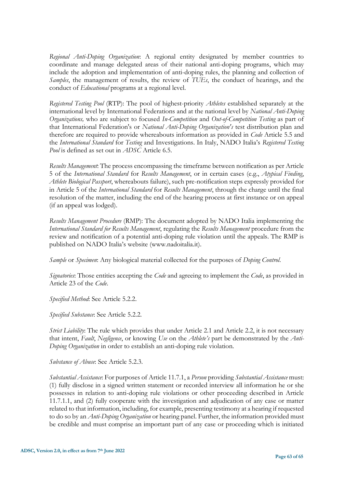*Regional Anti-Doping Organization*: A regional entity designated by member countries to coordinate and manage delegated areas of their national anti-doping programs, which may include the adoption and implementation of anti-doping rules, the planning and collection of *Samples*, the management of results, the review of *TUEs*, the conduct of hearings, and the conduct of *Educational* programs at a regional level.

*Registered Testing Pool* (RTP): The pool of highest-priority *Athletes* established separately at the international level by International Federations and at the national level by *National Anti-Doping Organizations,* who are subject to focused *In-Competition* and *Out-of-Competition Testing* as part of that International Federation's or *National Anti-Doping Organization's* test distribution plan and therefore are required to provide whereabouts information as provided in *Code* Article 5.5 and the *International Standard* for *Testing* and Investigations. In Italy, NADO Italia's *Registered Testing Pool* is defined as set out in *ADSC* Article 6.5.

*Results Management*: The process encompassing the timeframe between notification as per Article 5 of the *International Standard* for *Results Management*, or in certain cases (e.g., *Atypical Finding*, *Athlete Biological Passport*, whereabouts failure), such pre-notification steps expressly provided for in Article 5 of the *International Standard* for *Results Management*, through the charge until the final resolution of the matter, including the end of the hearing process at first instance or on appeal (if an appeal was lodged).

*Results Management Procedure* (RMP): The document adopted by NADO Italia implementing the *International Standard for Results Management*, regulating the *Results Management* procedure from the review and notification of a potential anti-doping rule violation until the appeals. The RMP is published on NADO Italia's website (www.nadoitalia.it).

*Sample* or *Specimen*: Any biological material collected for the purposes of *Doping Control*.

*Signatories*: Those entities accepting the *Code* and agreeing to implement the *Code*, as provided in Article 23 of the *Code*.

*Specified Method*: See Article 5.2.2.

*Specified Substance*: See Article 5.2.2.

*Strict Liability*: The rule which provides that under Article 2.1 and Article 2.2, it is not necessary that intent, *Fault*, *Negligence*, or knowing *Use* on the *Athlete's* part be demonstrated by the *Anti-Doping Organization* in order to establish an anti-doping rule violation.

*Substance of Abuse*: See Article 5.2.3.

*Substantial Assistance*: For purposes of Article 11.7.1, a *Person* providing *Substantial Assistance* must: (1) fully disclose in a signed written statement or recorded interview all information he or she possesses in relation to anti-doping rule violations or other proceeding described in Article 11.7.1.1, and (2) fully cooperate with the investigation and adjudication of any case or matter related to that information, including, for example, presenting testimony at a hearing if requested to do so by an *Anti-Doping Organization* or hearing panel. Further, the information provided must be credible and must comprise an important part of any case or proceeding which is initiated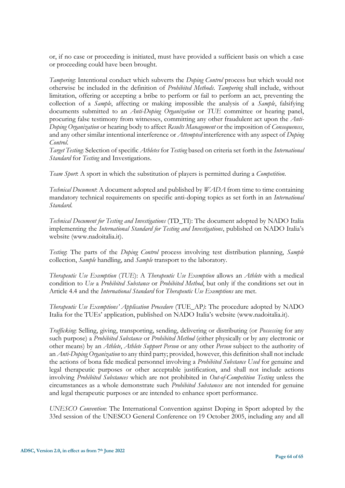or, if no case or proceeding is initiated, must have provided a sufficient basis on which a case or proceeding could have been brought.

*Tampering*: Intentional conduct which subverts the *Doping Control* process but which would not otherwise be included in the definition of *Prohibited Methods*. *Tampering* shall include, without limitation, offering or accepting a bribe to perform or fail to perform an act, preventing the collection of a *Sample*, affecting or making impossible the analysis of a *Sample*, falsifying documents submitted to an *Anti-Doping Organization* or *TUE* committee or hearing panel, procuring false testimony from witnesses, committing any other fraudulent act upon the *Anti-Doping Organization* or hearing body to affect *Results Management* or the imposition of *Consequences*, and any other similar intentional interference or *Attempted* interference with any aspect of *Doping Control*.

*Target Testing*: Selection of specific *Athletes* for *Testing* based on criteria set forth in the *International Standard* for *Testing* and Investigations.

*Team Sport*: A sport in which the substitution of players is permitted during a *Competition*.

*Technical Document*: A document adopted and published by *WADA* from time to time containing mandatory technical requirements on specific anti-doping topics as set forth in an *International Standard*.

*Technical Document for Testing and Investigations* (TD\_TI): The document adopted by NADO Italia implementing the *International Standard for Testing and Investigations*, published on NADO Italia's website (www.nadoitalia.it).

*Testing*: The parts of the *Doping Control* process involving test distribution planning, *Sample* collection, *Sample* handling, and *Sample* transport to the laboratory.

*Therapeutic Use Exemption* (*TUE*): A *Therapeutic Use Exemption* allows an *Athlete* with a medical condition to *Use* a *Prohibited Substance* or *Prohibited Method*, but only if the conditions set out in Article 4.4 and the *International Standard* for *Therapeutic Use Exemptions* are met.

*Therapeutic Use Exemptions' Application Procedure* (TUE\_AP*)*: The procedure adopted by NADO Italia for the TUEs' application, published on NADO Italia's website (www.nadoitalia.it).

*Trafficking*: Selling, giving, transporting, sending, delivering or distributing (or *Possessing* for any such purpose) a *Prohibited Substance* or *Prohibited Method* (either physically or by any electronic or other means) by an *Athlete*, *Athlete Support Person* or any other *Person* subject to the authority of an *Anti-Doping Organization* to any third party; provided, however, this definition shall not include the actions of bona fide medical personnel involving a *Prohibited Substance Used* for genuine and legal therapeutic purposes or other acceptable justification, and shall not include actions involving *Prohibited Substances* which are not prohibited in *Out-of-Competition Testing* unless the circumstances as a whole demonstrate such *Prohibited Substances* are not intended for genuine and legal therapeutic purposes or are intended to enhance sport performance.

*UNESCO Convention*: The International Convention against Doping in Sport adopted by the 33rd session of the UNESCO General Conference on 19 October 2005, including any and all